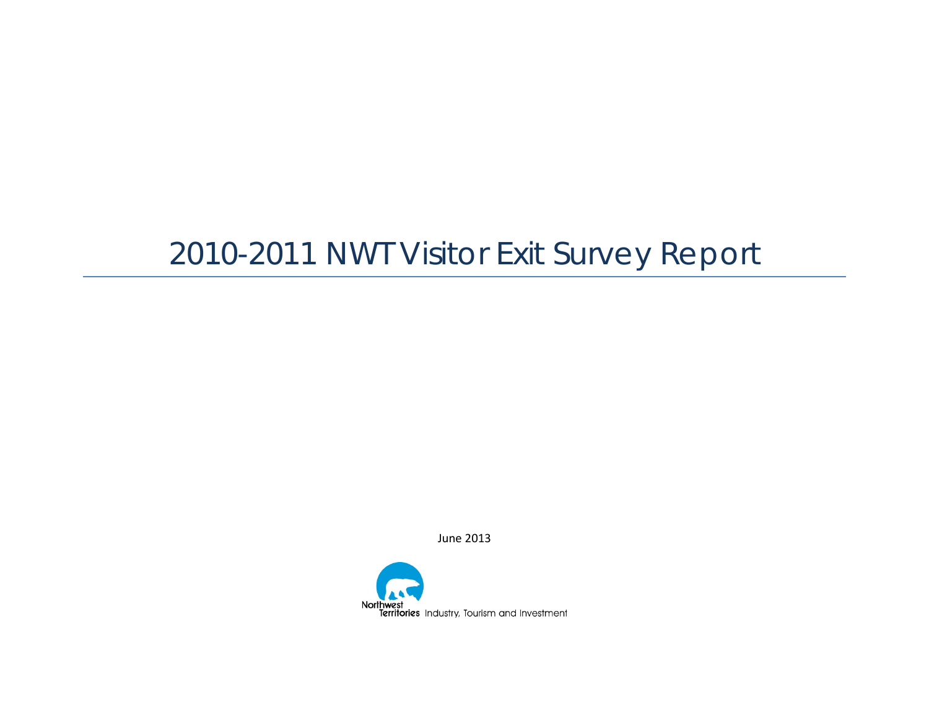# 2010-2011 NWT Visitor Exit Survey Report

June 2013

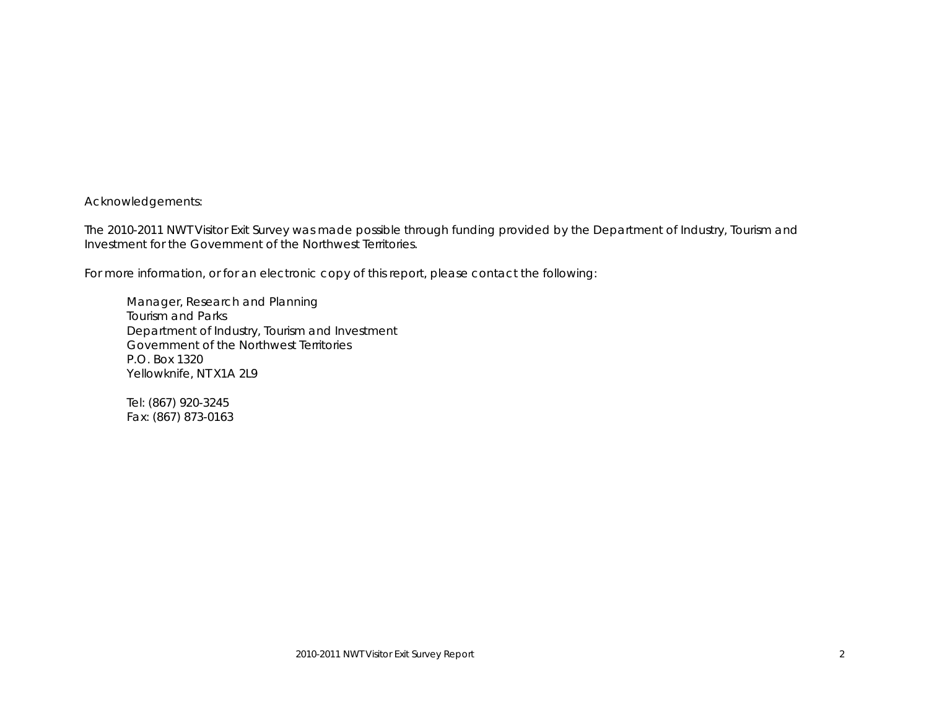Acknowledgements:

The 2010-2011 NWT Visitor Exit Survey was made possible through funding provided by the Department of Industry, Tourism and Investment for the Government of the Northwest Territories.

For more information, or for an electronic copy of this report, please contact the following:

Manager, Research and Planning Tourism and Parks Department of Industry, Tourism and Investment Government of the Northwest Territories P.O. Box 1320 Yellowknife, NT X1A 2L9

Tel: (867) 920-3245 Fax: (867) 873-0163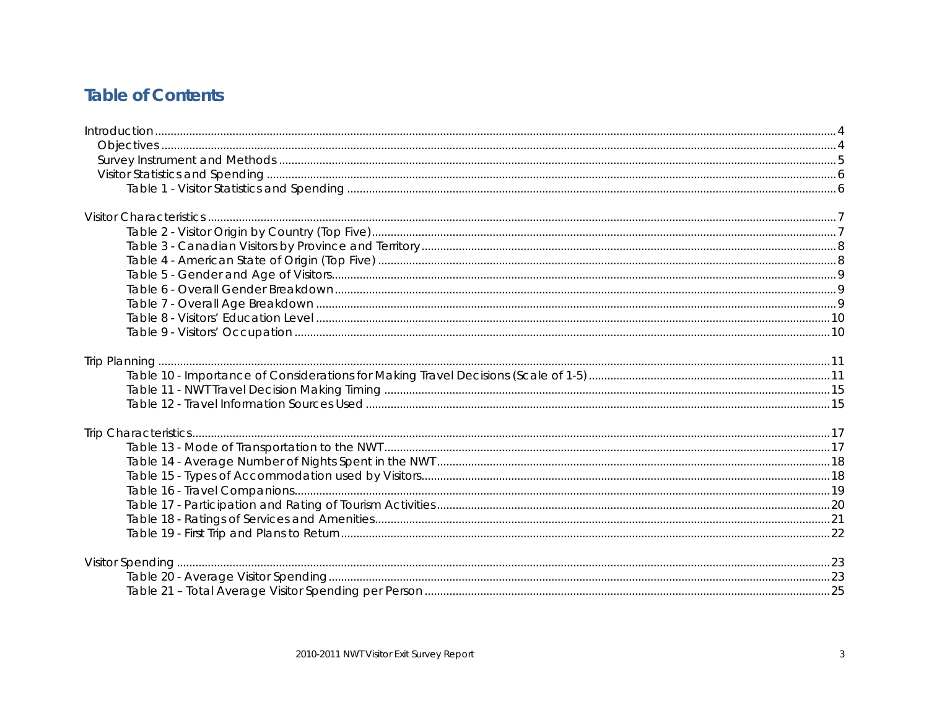### **Table of Contents**

<span id="page-2-0"></span>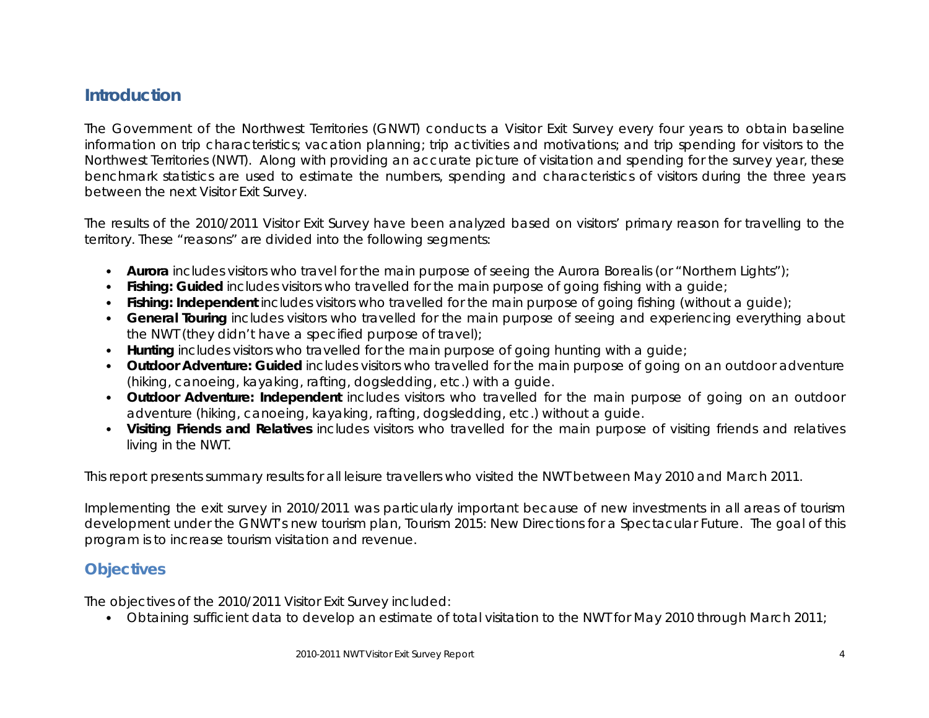### **Introduction**

The Government of the Northwest Territories (GNWT) conducts a Visitor Exit Survey every four years to obtain baseline information on trip characteristics; vacation planning; trip activities and motivations; and trip spending for visitors to the Northwest Territories (NWT). Along with providing an accurate picture of visitation and spending for the survey year, these benchmark statistics are used to estimate the numbers, spending and characteristics of visitors during the three years between the next Visitor Exit Survey.

The results of the 2010/2011 Visitor Exit Survey have been analyzed based on visitors' primary reason for travelling to the territory. These "reasons" are divided into the following segments:

- **Aurora** includes visitors who travel for the main purpose of seeing the Aurora Borealis (or "Northern Lights");
- **Fishing: Guided** includes visitors who travelled for the main purpose of going fishing with a guide;
- **Fishing: Independent** includes visitors who travelled for the main purpose of going fishing (without a guide);
- **General Touring** includes visitors who travelled for the main purpose of seeing and experiencing everything about the NWT (they didn't have a specified purpose of travel);
- **Hunting** includes visitors who travelled for the main purpose of going hunting with a guide;
- **Outdoor Adventure: Guided** includes visitors who travelled for the main purpose of going on an outdoor adventure (hiking, canoeing, kayaking, rafting, dogsledding, etc.) with a guide.
- **Outdoor Adventure: Independent** includes visitors who travelled for the main purpose of going on an outdoor adventure (hiking, canoeing, kayaking, rafting, dogsledding, etc.) without a guide.
- **Visiting Friends and Relatives** includes visitors who travelled for the main purpose of visiting friends and relatives living in the NWT.

This report presents summary results for all leisure travellers who visited the NWT between May 2010 and March 2011.

Implementing the exit survey in 2010/2011 was particularly important because of new investments in all areas of tourism development under the GNWT's new tourism plan, *Tourism 2015: New Directions for a Spectacular Future*. The goal of this program is to increase tourism visitation and revenue.

### <span id="page-3-0"></span>**Objectives**

The objectives of the 2010/2011 Visitor Exit Survey included:

• Obtaining sufficient data to develop an estimate of total visitation to the NWT for May 2010 through March 2011;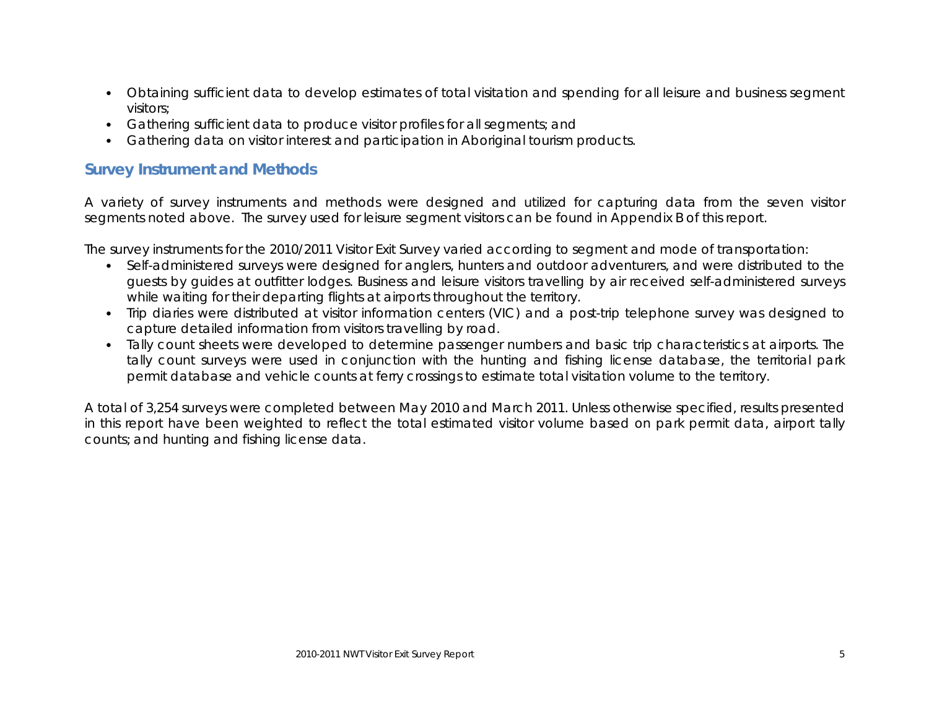- Obtaining sufficient data to develop estimates of total visitation and spending for all leisure and business segment visitors;
- Gathering sufficient data to produce visitor profiles for all segments; and
- Gathering data on visitor interest and participation in Aboriginal tourism products.

#### <span id="page-4-0"></span>**Survey Instrument and Methods**

A variety of survey instruments and methods were designed and utilized for capturing data from the seven visitor segments noted above. The survey used for leisure segment visitors can be found in Appendix B of this report.

The survey instruments for the 2010/2011 Visitor Exit Survey varied according to segment and mode of transportation:

- Self-administered surveys were designed for anglers, hunters and outdoor adventurers, and were distributed to the guests by guides at outfitter lodges. Business and leisure visitors travelling by air received self-administered surveys while waiting for their departing flights at airports throughout the territory.
- Trip diaries were distributed at visitor information centers (VIC) and a post-trip telephone survey was designed to capture detailed information from visitors travelling by road.
- Tally count sheets were developed to determine passenger numbers and basic trip characteristics at airports. The tally count surveys were used in conjunction with the hunting and fishing license database, the territorial park permit database and vehicle counts at ferry crossings to estimate total visitation volume to the territory.

A total of 3,254 surveys were completed between May 2010 and March 2011. Unless otherwise specified, results presented in this report have been weighted to reflect the total estimated visitor volume based on park permit data, airport tally counts; and hunting and fishing license data.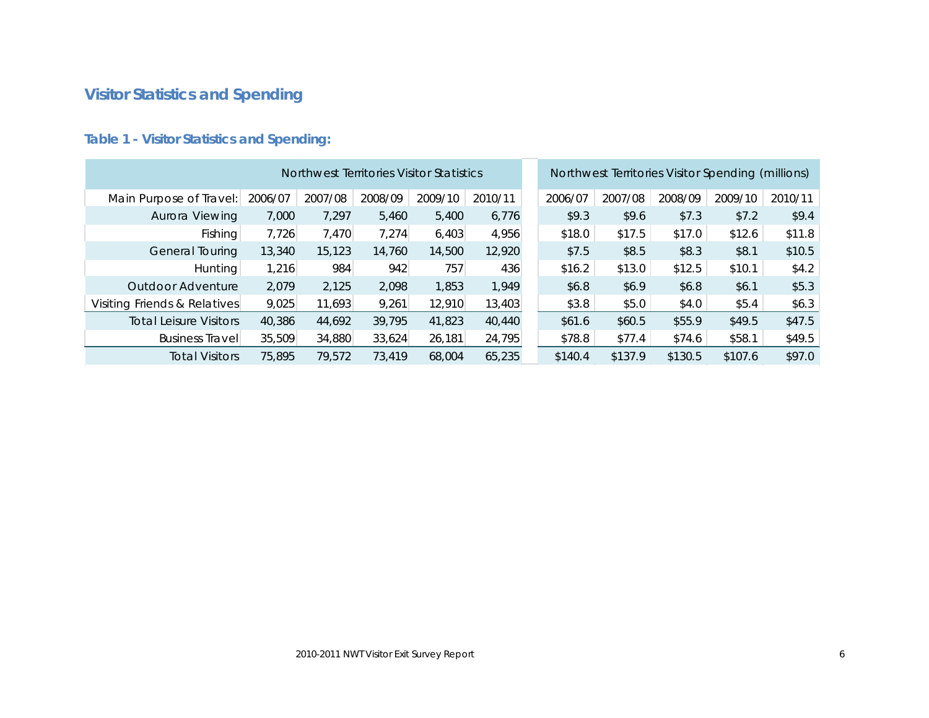# <span id="page-5-0"></span>**Visitor Statistics and Spending**

|                               |         | Northwest Territories Visitor Statistics |         |         |         |         |         | Northwest Territories Visitor Spending (millions) |         |         |
|-------------------------------|---------|------------------------------------------|---------|---------|---------|---------|---------|---------------------------------------------------|---------|---------|
| Main Purpose of Travel:       | 2006/07 | 2007/08                                  | 2008/09 | 2009/10 | 2010/11 | 2006/07 | 2007/08 | 2008/09                                           | 2009/10 | 2010/11 |
| Aurora Viewing                | 7,000   | 7.297                                    | 5,460   | 5,400   | 6,776   | \$9.3   | \$9.6   | \$7.3                                             | \$7.2   | \$9.4   |
| Fishing                       | 7,726   | 7,470                                    | 7,274   | 6,403   | 4,956   | \$18.0  | \$17.5  | \$17.0                                            | \$12.6  | \$11.8  |
| General Touring               | 13,340  | 15,123                                   | 14,760  | 14,500  | 12,920  | \$7.5   | \$8.5   | \$8.3                                             | \$8.1   | \$10.5  |
| Hunting                       | 1,216   | 984                                      | 942     | 757     | 436     | \$16.2  | \$13.0  | \$12.5                                            | \$10.1  | \$4.2   |
| Outdoor Adventure             | 2,079   | 2,125                                    | 2,098   | 1,853   | 1,949   | \$6.8   | \$6.9   | \$6.8                                             | \$6.1   | \$5.3   |
| Visiting Friends & Relatives  | 9,025   | 11,693                                   | 9,261   | 12,910  | 13,403  | \$3.8   | \$5.0   | \$4.0                                             | \$5.4   | \$6.3\$ |
| <b>Total Leisure Visitors</b> | 40,386  | 44,692                                   | 39,795  | 41,823  | 40,440  | \$61.6  | \$60.5  | \$55.9                                            | \$49.5  | \$47.5  |
| <b>Business Travell</b>       | 35,509  | 34,880                                   | 33,624  | 26,181  | 24,795  | \$78.8  | \$77.4  | \$74.6                                            | \$58.1  | \$49.5  |
| <b>Total Visitors</b>         | 75,895  | 79,572                                   | 73,419  | 68,004  | 65,235  | \$140.4 | \$137.9 | \$130.5                                           | \$107.6 | \$97.0  |

### <span id="page-5-1"></span>**Table 1 - Visitor Statistics and Spending:**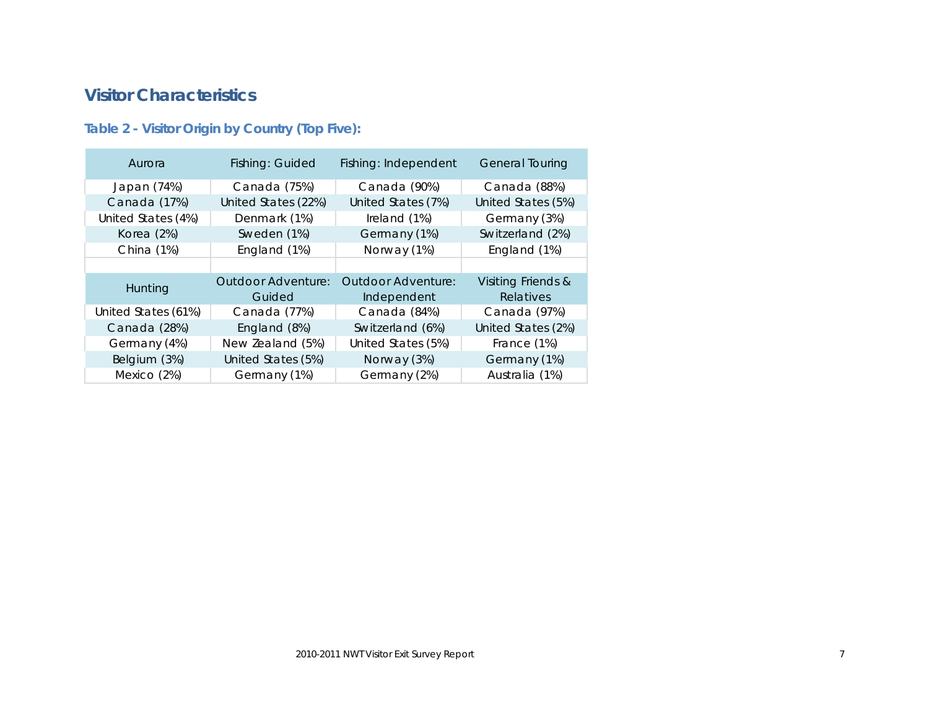### <span id="page-6-0"></span>**Visitor Characteristics**

### <span id="page-6-1"></span>**Table 2 - Visitor Origin by Country (Top Five):**

| Aurora              | Fishing: Guided     | Fishing: Independent | <b>General Touring</b> |
|---------------------|---------------------|----------------------|------------------------|
| Japan (74%)         | Canada (75%)        | Canada (90%)         | Canada (88%)           |
| Canada (17%)        | United States (22%) | United States (7%)   | United States (5%)     |
| United States (4%)  | Denmark (1%)        |                      | Germany (3%)           |
| Korea (2%)          | Sweden (1%)         | Germany (1%)         | Switzerland (2%)       |
| China (1%)          | England (1%)        | Norway (1%)          | England (1%)           |
|                     |                     |                      |                        |
| Hunting             | Outdoor Adventure:  | Outdoor Adventure:   | Visiting Friends &     |
|                     | Guided              | Independent          | Relatives              |
| United States (61%) | Canada (77%)        | Canada (84%)         | Canada (97%)           |
| Canada (28%)        | England (8%)        | Switzerland (6%)     | United States (2%)     |
| Germany (4%)        | New Zealand (5%)    | United States (5%)   | France (1%)            |
| Belgium (3%)        | United States (5%)  | Norway (3%)          | Germany (1%)           |
| Mexico (2%)         | Germany (1%)        | Germany (2%)         | Australia (1%)         |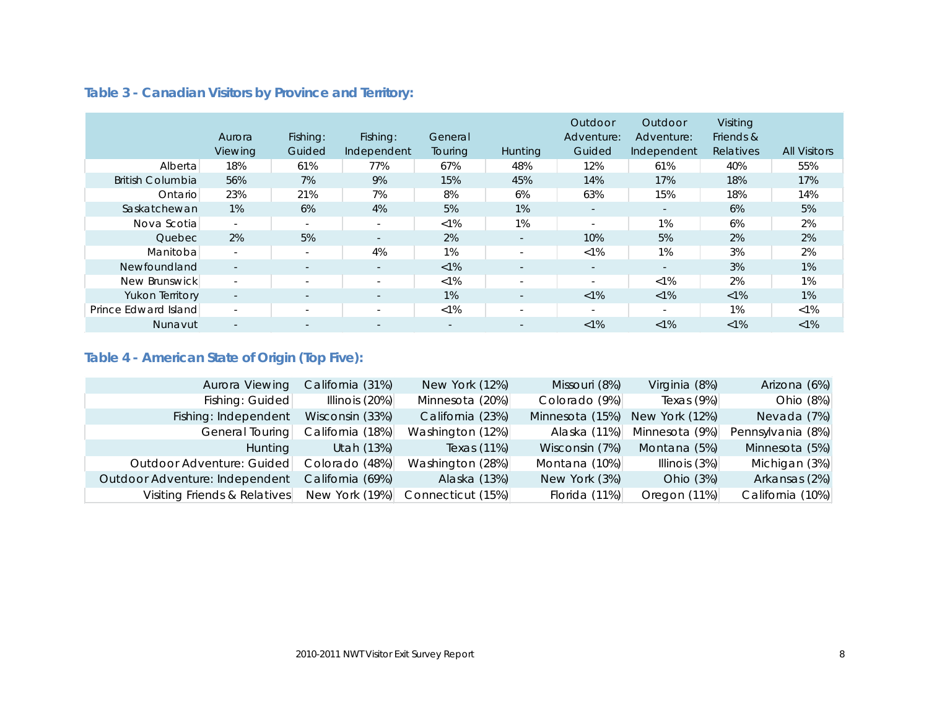|                         | Aurora<br>Viewing        | Fishing:<br>Guided       | Fishing:<br>Independent  | General<br>Touring | <b>Hunting</b>           | Outdoor<br>Adventure:<br>Guided | Outdoor<br>Adventure:<br>Independent | Visiting<br>Friends &<br>Relatives | <b>All Visitors</b> |
|-------------------------|--------------------------|--------------------------|--------------------------|--------------------|--------------------------|---------------------------------|--------------------------------------|------------------------------------|---------------------|
| Alberta                 | 18%                      | 61%                      | 77%                      | 67%                | 48%                      | 12%                             | 61%                                  | 40%                                | 55%                 |
| <b>British Columbia</b> | 56%                      | 7%                       | 9%                       | 15%                | 45%                      | 14%                             | 17%                                  | 18%                                | 17%                 |
| Ontario                 | 23%                      | 21%                      | 7%                       | 8%                 | 6%                       | 63%                             | 15%                                  | 18%                                | 14%                 |
| Saskatchewan            | 1%                       | 6%                       | 4%                       | 5%                 | $1\%$                    | $\overline{\phantom{a}}$        | $\sim$                               | 6%                                 | 5%                  |
| Nova Scotia             | $\sim$                   | $\sim$                   | $\sim$                   | $< 1\%$            | 1%                       | $\overline{\phantom{a}}$        | 1%                                   | 6%                                 | 2%                  |
| Quebec                  | 2%                       | 5%                       | $\sim$                   | 2%                 | $\sim$                   | 10%                             | 5%                                   | 2%                                 | 2%                  |
| Manitoba                | $\sim$                   | $\sim$                   | 4%                       | 1%                 | $\sim$                   | $< 1\%$                         | 1%                                   | 3%                                 | 2%                  |
| Newfoundland            | $\overline{\phantom{a}}$ | $\sim$                   | $\sim$                   | $<1\%$             | $\overline{\phantom{a}}$ | $\sim$                          | $\overline{\phantom{a}}$             | 3%                                 | 1%                  |
| New Brunswick           | $\overline{\phantom{a}}$ | $\overline{\phantom{a}}$ | $\overline{\phantom{a}}$ | $< 1\%$            | $\overline{\phantom{a}}$ | $\overline{\phantom{a}}$        | $< 1\%$                              | 2%                                 | 1%                  |
| <b>Yukon Territory</b>  | $\sim$                   | $\overline{\phantom{a}}$ | $\sim$                   | 1%                 | $\overline{\phantom{a}}$ | $< 1\%$                         | $< 1\%$                              | $< 1\%$                            | 1%                  |
| Prince Edward Island    | $\overline{\phantom{a}}$ | $\overline{\phantom{a}}$ | $\overline{\phantom{a}}$ | $< 1\%$            | $\overline{\phantom{a}}$ | $\overline{\phantom{a}}$        | $\sim$                               | 1%                                 | $< 1\%$             |
| Nunavut                 |                          |                          |                          |                    | $\overline{\phantom{a}}$ | $< 1\%$                         | $< 1\%$                              | $< 1\%$                            | $< 1\%$             |

### <span id="page-7-0"></span>**Table 3 - Canadian Visitors by Province and Territory:**

### <span id="page-7-1"></span>**Table 4 - American State of Origin (Top Five):**

| Aurora Viewing                 | California (31%) | New York (12%)    | Missouri (8%)   | Virginia (8%)  | Arizona (6%)      |
|--------------------------------|------------------|-------------------|-----------------|----------------|-------------------|
| Fishing: Guided                | Illinois $(20%)$ | Minnesota (20%)   | Colorado (9%)   | Texas $(9%)$   | Ohio (8%)         |
| Fishing: Independent           | Wisconsin (33%)  | California (23%)  | Minnesota (15%) | New York (12%) | Nevada (7%)       |
| General Touring                | California (18%) | Washington (12%)  | Alaska (11%)    | Minnesota (9%) | Pennsylvania (8%) |
| <b>Hunting</b>                 | Utah (13%)       | Texas (11%)       | Wisconsin (7%)  | Montana (5%)   | Minnesota (5%)    |
| Outdoor Adventure: Guided      | Colorado (48%)   | Washington (28%)  | Montana (10%)   | Illinois (3%)  | Michigan (3%)     |
| Outdoor Adventure: Independent | California (69%) | Alaska (13%)      | New York (3%)   | Ohio (3%)      | Arkansas (2%)     |
| Visiting Friends & Relatives   | New York (19%)   | Connecticut (15%) | Florida (11%)   | Oregon (11%)   | California (10%)  |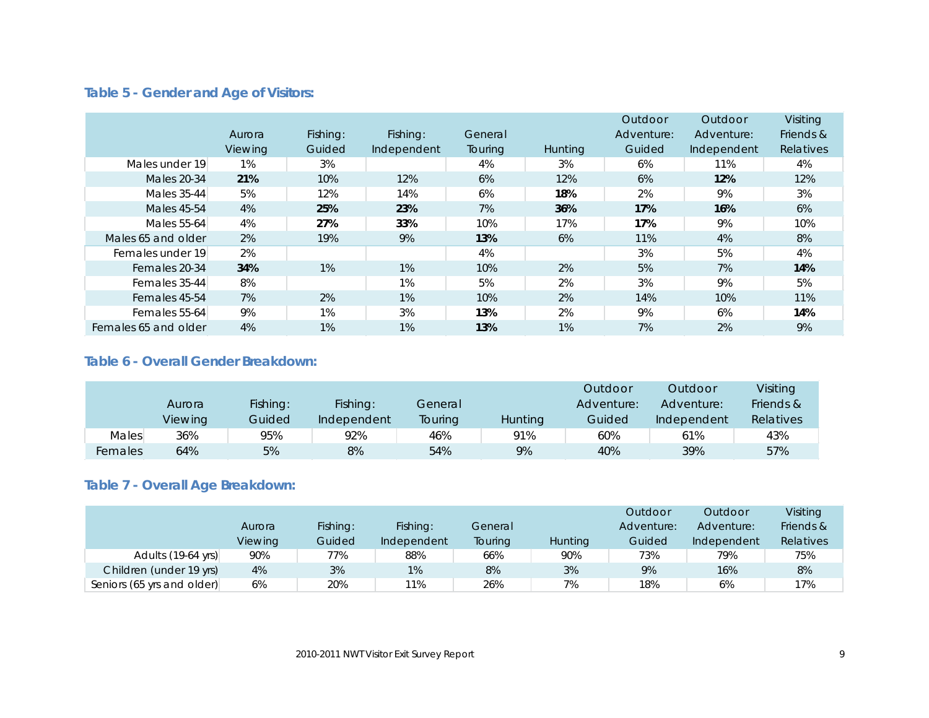### <span id="page-8-0"></span>**Table 5 - Gender and Age of Visitors:**

|                      |                |          |             |                |                | Outdoor    | Outdoor     | Visiting  |
|----------------------|----------------|----------|-------------|----------------|----------------|------------|-------------|-----------|
|                      | Aurora         | Fishing: | Fishing:    | General        |                | Adventure: | Adventure:  | Friends & |
|                      | <b>Viewing</b> | Guided   | Independent | <b>Touring</b> | <b>Hunting</b> | Guided     | Independent | Relatives |
| Males under 19       | 1%             | 3%       |             | 4%             | 3%             | 6%         | 11%         | 4%        |
| <b>Males 20-34</b>   | 21%            | 10%      | 12%         | 6%             | 12%            | 6%         | 12%         | 12%       |
| Males 35-44          | 5%             | 12%      | 14%         | 6%             | 18%            | 2%         | 9%          | 3%        |
| <b>Males 45-54</b>   | 4%             | 25%      | 23%         | 7%             | 36%            | 17%        | 16%         | 6%        |
| Males 55-64          | 4%             | 27%      | 33%         | 10%            | 17%            | 17%        | 9%          | 10%       |
| Males 65 and older   | 2%             | 19%      | 9%          | 13%            | 6%             | 11%        | 4%          | 8%        |
| Females under 19     | 2%             |          |             | 4%             |                | 3%         | 5%          | 4%        |
| Females 20-34        | 34%            | $1\%$    | $1\%$       | 10%            | 2%             | 5%         | 7%          | 14%       |
| Females 35-44        | 8%             |          | 1%          | 5%             | 2%             | 3%         | 9%          | 5%        |
| Females 45-54        | 7%             | 2%       | 1%          | 10%            | 2%             | 14%        | 10%         | 11%       |
| Females 55-64        | 9%             | 1%       | 3%          | 13%            | 2%             | 9%         | 6%          | 14%       |
| Females 65 and older | 4%             | 1%       | 1%          | 13%            | 1%             | 7%         | 2%          | 9%        |

#### <span id="page-8-1"></span>**Table 6 - Overall Gender Breakdown:**

|         |         |          |             |         |         | Outdoor    | Outdoor     | Visiting  |
|---------|---------|----------|-------------|---------|---------|------------|-------------|-----------|
|         | Aurora  | Fishing: | Fishing:    | General |         | Adventure: | Adventure:  | Friends & |
|         | Viewing | Guided   | Independent | Touring | Hunting | Guided     | Independent | Relatives |
| Males   | 36%     | 95%      | 92%         | 46%     | 91%     | 60%        | 61%         | 43%       |
| Females | 64%     | 5%       | 8%          | 54%     | 9%      | 40%        | 39%         | 57%       |

### <span id="page-8-2"></span>**Table 7 - Overall Age Breakdown:**

|                            |         |          |             |         |                | Outdoor    | Outdoor     | Visiting  |
|----------------------------|---------|----------|-------------|---------|----------------|------------|-------------|-----------|
|                            | Aurora  | Fishing: | Fishing:    | General |                | Adventure: | Adventure:  | Friends & |
|                            | Viewing | Guided   | Independent | Touring | <b>Hunting</b> | Guided     | Independent | Relatives |
| Adults (19-64 yrs)         | 90%     | 77%      | 88%         | 66%     | 90%            | 73%        | 79%         | 75%       |
| Children (under 19 yrs)    | 4%      | 3%       | 1%          | 8%      | 3%             | 9%         | 16%         | 8%        |
| Seniors (65 yrs and older) | 6%      | 20%      | 11%         | 26%     | 7%             | 18%        | 6%          | 17%       |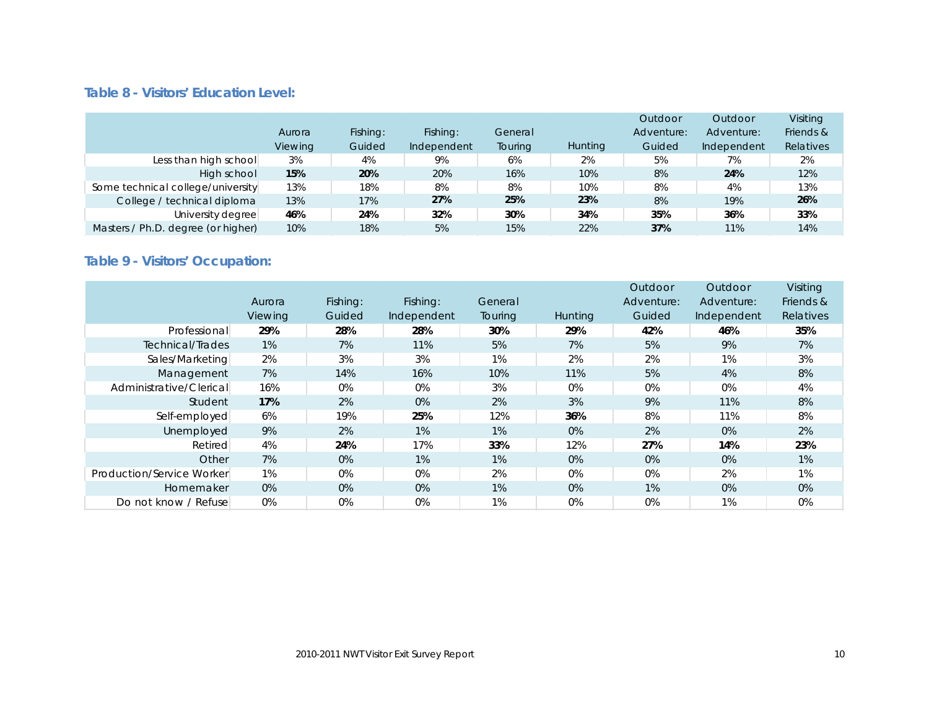#### <span id="page-9-0"></span>**Table 8 - Visitors' Education Level:**

|                                    | Aurora<br>Viewing | Fishing:<br>Guided | Fishing:<br>Independent | General<br>Touring | <b>Hunting</b> | Outdoor<br>Adventure:<br>Guided | Outdoor<br>Adventure:<br>Independent | Visiting<br>Friends &<br>Relatives |
|------------------------------------|-------------------|--------------------|-------------------------|--------------------|----------------|---------------------------------|--------------------------------------|------------------------------------|
| Less than high school              | 3%                | 4%                 | 9%                      | 6%                 | 2%             | 5%                              | 7%                                   | 2%                                 |
| High school                        | 15%               | 20%                | 20%                     | 16%                | 10%            | 8%                              | 24%                                  | 12%                                |
| Some technical college/university  | 13%               | 18%                | 8%                      | 8%                 | 10%            | 8%                              | 4%                                   | 13%                                |
| College / technical diploma        | 13%               | 17%                | 27%                     | 25%                | 23%            | 8%                              | 19%                                  | 26%                                |
| University degree                  | 46%               | 24%                | 32%                     | 30%                | 34%            | 35%                             | 36%                                  | 33%                                |
| Masters / Ph.D. degree (or higher) | 10%               | 18%                | 5%                      | 15%                | 22%            | 37%                             | 11%                                  | 14%                                |

# <span id="page-9-1"></span>**Table 9 - Visitors' Occupation:**

|                           |                |          |             |                |         | Outdoor    | Outdoor     | Visiting  |
|---------------------------|----------------|----------|-------------|----------------|---------|------------|-------------|-----------|
|                           | Aurora         | Fishing: | Fishing:    | General        |         | Adventure: | Adventure:  | Friends & |
|                           | <b>Viewing</b> | Guided   | Independent | <b>Touring</b> | Hunting | Guided     | Independent | Relatives |
| Professional              | 29%            | 28%      | 28%         | 30%            | 29%     | 42%        | 46%         | 35%       |
| Technical/Trades          | 1%             | 7%       | 11%         | 5%             | 7%      | 5%         | 9%          | 7%        |
| Sales/Marketing           | 2%             | 3%       | 3%          | $1\%$          | 2%      | 2%         | 1%          | 3%        |
| Management                | 7%             | 14%      | 16%         | 10%            | 11%     | 5%         | 4%          | 8%        |
| Administrative/Clerical   | 16%            | 0%       | $0\%$       | 3%             | 0%      | 0%         | 0%          | 4%        |
| Student                   | 17%            | 2%       | $0\%$       | 2%             | 3%      | 9%         | 11%         | 8%        |
| Self-employed             | 6%             | 19%      | 25%         | 12%            | 36%     | 8%         | 11%         | 8%        |
| Unemployed                | 9%             | 2%       | 1%          | 1%             | 0%      | 2%         | 0%          | 2%        |
| Retired                   | 4%             | 24%      | 17%         | 33%            | 12%     | 27%        | 14%         | 23%       |
| Other                     | 7%             | 0%       | 1%          | $1\%$          | 0%      | 0%         | $0\%$       | 1%        |
| Production/Service Worker | 1%             | 0%       | $0\%$       | 2%             | 0%      | 0%         | 2%          | 1%        |
| Homemaker                 | 0%             | 0%       | $0\%$       | $1\%$          | 0%      | 1%         | 0%          | 0%        |
| Do not know / Refuse      | 0%             | 0%       | $0\%$       | $1\%$          | $0\%$   | 0%         | 1%          | $0\%$     |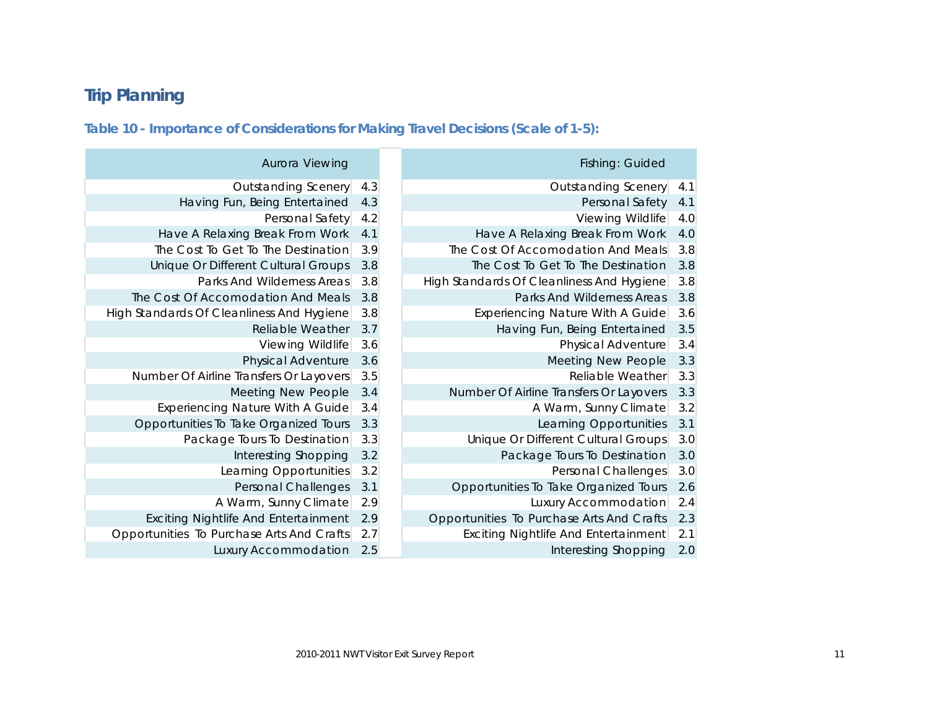# <span id="page-10-0"></span>**Trip Planning**

#### <span id="page-10-1"></span>**Table 10 - Importance of Considerations for Making Travel Decisions (Scale of 1-5):**

| Aurora Viewing                              |     | Fishing: Guided                           |     |
|---------------------------------------------|-----|-------------------------------------------|-----|
| <b>Outstanding Scenery</b>                  | 4.3 | <b>Outstanding Scenery</b>                | 4.1 |
| Having Fun, Being Entertained               | 4.3 | Personal Safety                           | 4.1 |
| Personal Safety                             | 4.2 | Viewing Wildlife                          | 4.0 |
| Have A Relaxing Break From Work             | 4.1 | Have A Relaxing Break From Work           | 4.0 |
| The Cost To Get To The Destination          | 3.9 | The Cost Of Accomodation And Meals        | 3.8 |
| Unique Or Different Cultural Groups         | 3.8 | The Cost To Get To The Destination        | 3.8 |
| Parks And Wilderness Areas                  | 3.8 | High Standards Of Cleanliness And Hygiene | 3.8 |
| The Cost Of Accomodation And Meals          | 3.8 | Parks And Wilderness Areas                | 3.8 |
| High Standards Of Cleanliness And Hygiene   | 3.8 | Experiencing Nature With A Guide          | 3.6 |
| <b>Reliable Weather</b>                     | 3.7 | Having Fun, Being Entertained             | 3.5 |
| Viewing Wildlife                            | 3.6 | Physical Adventure                        | 3.4 |
| <b>Physical Adventure</b>                   | 3.6 | Meeting New People                        | 3.3 |
| Number Of Airline Transfers Or Layovers     | 3.5 | Reliable Weather                          | 3.3 |
| Meeting New People                          | 3.4 | Number Of Airline Transfers Or Layovers   | 3.3 |
| Experiencing Nature With A Guide            | 3.4 | A Warm, Sunny Climate                     | 3.2 |
| Opportunities To Take Organized Tours       | 3.3 | Learning Opportunities                    | 3.1 |
| Package Tours To Destination                | 3.3 | Unique Or Different Cultural Groups       | 3.0 |
| Interesting Shopping                        | 3.2 | Package Tours To Destination              | 3.0 |
| Learning Opportunities                      | 3.2 | Personal Challenges                       | 3.0 |
| Personal Challenges                         | 3.1 | Opportunities To Take Organized Tours     | 2.6 |
| A Warm, Sunny Climate                       | 2.9 | Luxury Accommodation                      | 2.4 |
| <b>Exciting Nightlife And Entertainment</b> | 2.9 | Opportunities To Purchase Arts And Crafts | 2.3 |
| Opportunities To Purchase Arts And Crafts   | 2.7 | Exciting Nightlife And Entertainment      | 2.1 |
| <b>Luxury Accommodation</b>                 | 2.5 | Interesting Shopping                      | 2.0 |

| Have A Relaxing Break From Work             | 4.1 |
|---------------------------------------------|-----|
| The Cost To Get To The Destination          | 3.9 |
| Unique Or Different Cultural Groups         | 3.8 |
| Parks And Wilderness Areas                  | 3.8 |
| The Cost Of Accomodation And Meals          | 3.8 |
| High Standards Of Cleanliness And Hygiene   | 3.8 |
| Reliable Weather                            | 3.7 |
| Viewing Wildlife                            | 3.6 |
| Physical Adventure                          | 3.6 |
| Number Of Airline Transfers Or Layovers     | 3.5 |
| Meeting New People                          | 3.4 |
| <b>Experiencing Nature With A Guide</b>     | 3.4 |
| Opportunities To Take Organized Tours       | 3.3 |
| Package Tours To Destination                | 3.3 |
| Interesting Shopping                        | 3.2 |
| Learning Opportunities                      | 3.2 |
| Personal Challenges                         | 3.1 |
| A Warm, Sunny Climate                       | 2.9 |
| <b>Exciting Nightlife And Entertainment</b> | 2.9 |
| Opportunities To Purchase Arts And Crafts   | 2.7 |
| Luxury Accommodation                        | 2.5 |
|                                             |     |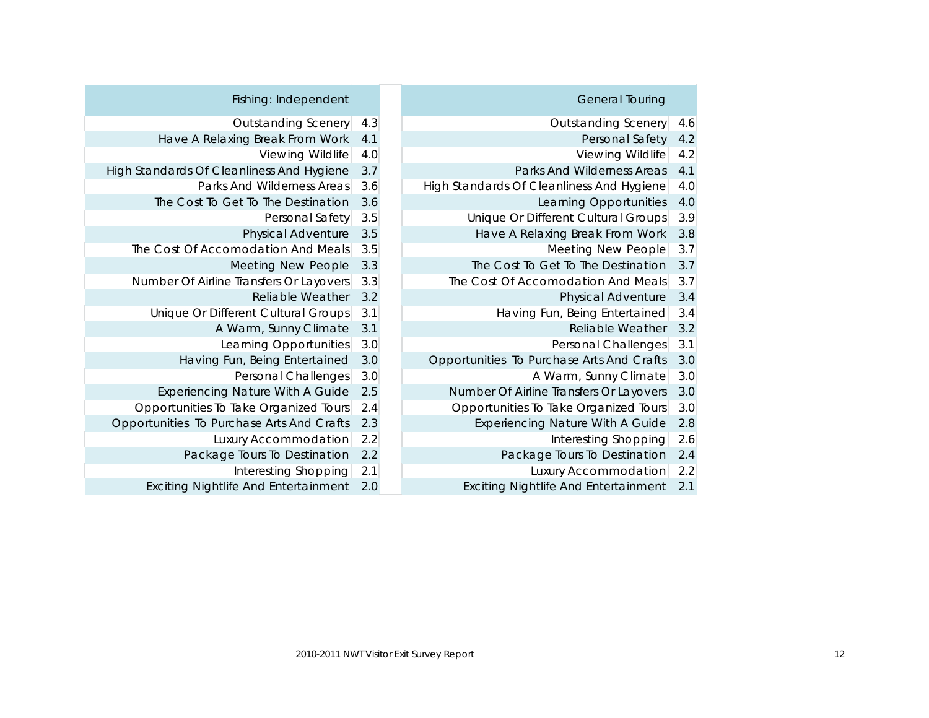| Fishing: Independent                        |     | <b>General Touring</b>                      |     |
|---------------------------------------------|-----|---------------------------------------------|-----|
| <b>Outstanding Scenery</b>                  | 4.3 | <b>Outstanding Scenery</b>                  | 4.6 |
| Have A Relaxing Break From Work             | 4.1 | Personal Safety                             | 4.2 |
| Viewing Wildlife                            | 4.0 | Viewing Wildlife                            | 4.2 |
| High Standards Of Cleanliness And Hygiene   | 3.7 | Parks And Wilderness Areas                  | 4.1 |
| Parks And Wilderness Areas                  | 3.6 | High Standards Of Cleanliness And Hygiene   | 4.0 |
| The Cost To Get To The Destination          | 3.6 | Learning Opportunities                      | 4.0 |
| Personal Safety                             | 3.5 | Unique Or Different Cultural Groups         | 3.9 |
| Physical Adventure                          | 3.5 | Have A Relaxing Break From Work             | 3.8 |
| The Cost Of Accomodation And Meals          | 3.5 | Meeting New People                          | 3.7 |
| Meeting New People                          | 3.3 | The Cost To Get To The Destination          | 3.7 |
| Number Of Airline Transfers Or Layovers     | 3.3 | The Cost Of Accomodation And Meals          | 3.7 |
| Reliable Weather                            | 3.2 | Physical Adventure                          | 3.4 |
| Unique Or Different Cultural Groups         | 3.1 | Having Fun, Being Entertained               | 3.4 |
| A Warm, Sunny Climate                       | 3.1 | Reliable Weather                            | 3.2 |
| Learning Opportunities                      | 3.0 | Personal Challenges                         | 3.1 |
| Having Fun, Being Entertained               | 3.0 | Opportunities To Purchase Arts And Crafts   | 3.0 |
| Personal Challenges                         | 3.0 | A Warm, Sunny Climate                       | 3.0 |
| <b>Experiencing Nature With A Guide</b>     | 2.5 | Number Of Airline Transfers Or Layovers     | 3.0 |
| Opportunities To Take Organized Tours       | 2.4 | Opportunities To Take Organized Tours       | 3.0 |
| Opportunities To Purchase Arts And Crafts   | 2.3 | <b>Experiencing Nature With A Guide</b>     | 2.8 |
| Luxury Accommodation                        | 2.2 | Interesting Shopping                        | 2.6 |
| Package Tours To Destination                | 2.2 | Package Tours To Destination                | 2.4 |
| Interesting Shopping                        | 2.1 | Luxury Accommodation                        | 2.2 |
| <b>Exciting Nightlife And Entertainment</b> | 2.0 | <b>Exciting Nightlife And Entertainment</b> | 2.1 |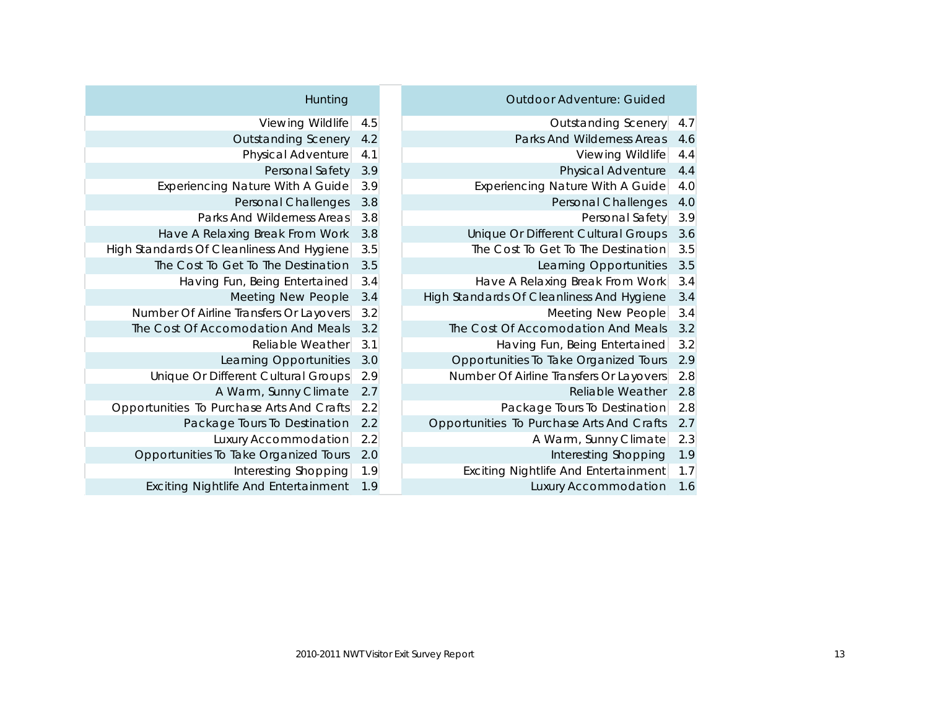| Hunting                                     |     | <b>Outdoor Adventure: Guided</b>          |     |
|---------------------------------------------|-----|-------------------------------------------|-----|
| Viewing Wildlife                            | 4.5 | <b>Outstanding Scenery</b>                | 4.7 |
| <b>Outstanding Scenery</b>                  | 4.2 | Parks And Wilderness Areas                | 4.6 |
| Physical Adventure                          | 4.1 | Viewing Wildlife                          | 4.4 |
| Personal Safety                             | 3.9 | Physical Adventure                        | 4.4 |
| <b>Experiencing Nature With A Guide</b>     | 3.9 | Experiencing Nature With A Guide          | 4.0 |
| Personal Challenges                         | 3.8 | Personal Challenges                       | 4.0 |
| Parks And Wilderness Areas                  | 3.8 | Personal Safety                           | 3.9 |
| Have A Relaxing Break From Work             | 3.8 | Unique Or Different Cultural Groups       | 3.6 |
| High Standards Of Cleanliness And Hygiene   | 3.5 | The Cost To Get To The Destination        | 3.5 |
| The Cost To Get To The Destination          | 3.5 | Learning Opportunities                    | 3.5 |
| Having Fun, Being Entertained               | 3.4 | Have A Relaxing Break From Work           | 3.4 |
| Meeting New People                          | 3.4 | High Standards Of Cleanliness And Hygiene | 3.4 |
| Number Of Airline Transfers Or Layovers     | 3.2 | Meeting New People                        | 3.4 |
| The Cost Of Accomodation And Meals          | 3.2 | The Cost Of Accomodation And Meals        | 3.2 |
| Reliable Weather                            | 3.1 | Having Fun, Being Entertained             | 3.2 |
| Learning Opportunities                      | 3.0 | Opportunities To Take Organized Tours     | 2.9 |
| Unique Or Different Cultural Groups         | 2.9 | Number Of Airline Transfers Or Layovers   | 2.8 |
| A Warm, Sunny Climate                       | 2.7 | Reliable Weather                          | 2.8 |
| Opportunities To Purchase Arts And Crafts   | 2.2 | Package Tours To Destination              | 2.8 |
| Package Tours To Destination                | 2.2 | Opportunities To Purchase Arts And Crafts | 2.7 |
| Luxury Accommodation                        | 2.2 | A Warm, Sunny Climate                     | 2.3 |
| Opportunities To Take Organized Tours       | 2.0 | Interesting Shopping                      | 1.9 |
| Interesting Shopping                        | 1.9 | Exciting Nightlife And Entertainment      | 1.7 |
| <b>Exciting Nightlife And Entertainment</b> | 1.9 | Luxury Accommodation                      | 1.6 |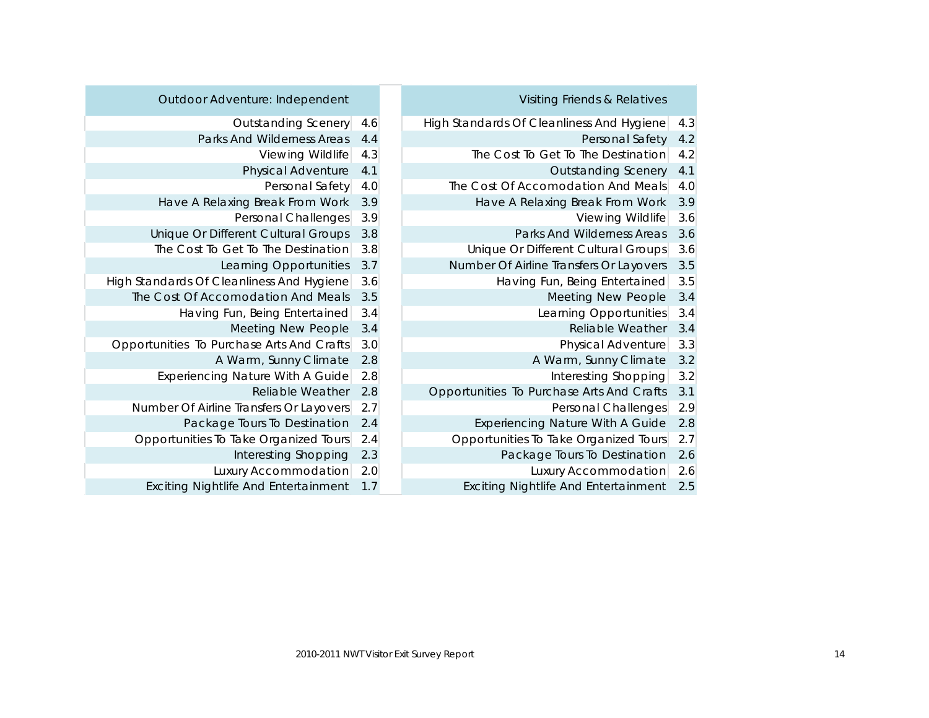| Outdoor Adventure: Independent              |     | Visiting Friends & Relatives              |     |
|---------------------------------------------|-----|-------------------------------------------|-----|
| Outstanding Scenery                         | 4.6 | High Standards Of Cleanliness And Hygiene | 4.3 |
| Parks And Wilderness Areas                  | 4.4 | Personal Safety                           | 4.2 |
| Viewing Wildlife                            | 4.3 | The Cost To Get To The Destination        | 4.2 |
| Physical Adventure                          | 4.1 | <b>Outstanding Scenery</b>                | 4.1 |
| Personal Safety                             | 4.0 | The Cost Of Accomodation And Meals        | 4.0 |
| Have A Relaxing Break From Work             | 3.9 | Have A Relaxing Break From Work           | 3.9 |
| Personal Challenges                         | 3.9 | Viewing Wildlife                          | 3.6 |
| Unique Or Different Cultural Groups         | 3.8 | Parks And Wilderness Areas                | 3.6 |
| The Cost To Get To The Destination          | 3.8 | Unique Or Different Cultural Groups       | 3.6 |
| Learning Opportunities                      | 3.7 | Number Of Airline Transfers Or Layovers   | 3.5 |
| High Standards Of Cleanliness And Hygiene   | 3.6 | Having Fun, Being Entertained             | 3.5 |
| The Cost Of Accomodation And Meals          | 3.5 | Meeting New People                        | 3.4 |
| Having Fun, Being Entertained               | 3.4 | Learning Opportunities                    | 3.4 |
| Meeting New People                          | 3.4 | Reliable Weather                          | 3.4 |
| Opportunities To Purchase Arts And Crafts   | 3.0 | Physical Adventure                        | 3.3 |
| A Warm, Sunny Climate                       | 2.8 | A Warm, Sunny Climate                     | 3.2 |
| Experiencing Nature With A Guide            | 2.8 | Interesting Shopping                      | 3.2 |
| Reliable Weather                            | 2.8 | Opportunities To Purchase Arts And Crafts | 3.1 |
| Number Of Airline Transfers Or Layovers     | 2.7 | Personal Challenges                       | 2.9 |
| Package Tours To Destination                | 2.4 | Experiencing Nature With A Guide          | 2.8 |
| Opportunities To Take Organized Tours       | 2.4 | Opportunities To Take Organized Tours     | 2.7 |
| Interesting Shopping                        | 2.3 | Package Tours To Destination              | 2.6 |
| Luxury Accommodation                        | 2.0 | Luxury Accommodation                      | 2.6 |
| <b>Exciting Nightlife And Entertainment</b> | 1.7 | Exciting Nightlife And Entertainment      | 2.5 |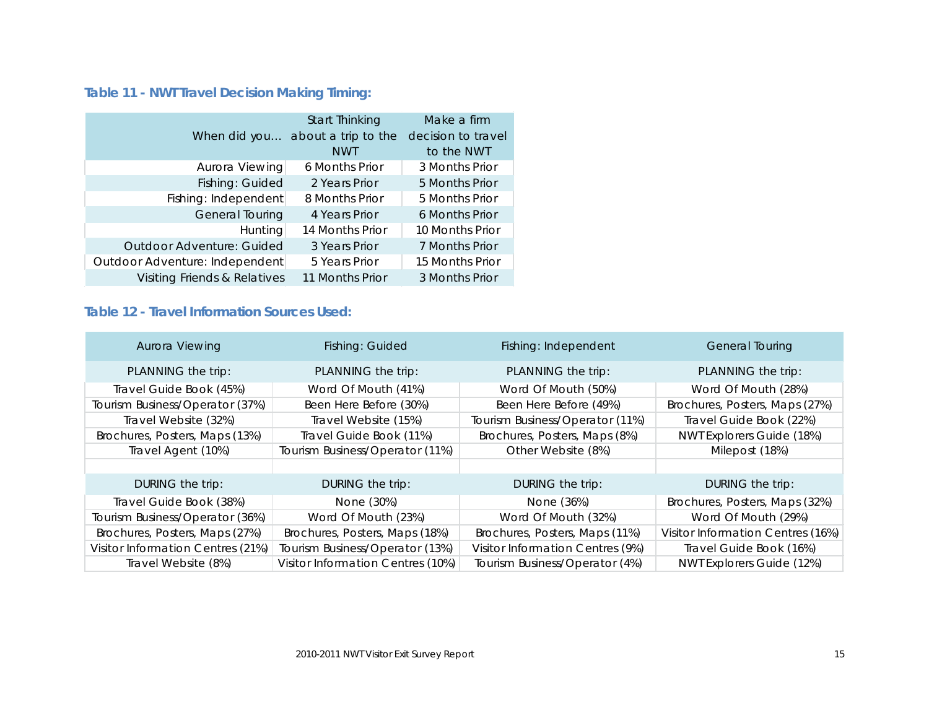### <span id="page-14-0"></span>**Table 11 - NWT Travel Decision Making Timing:**

|                                  | Start Thinking      | Make a firm        |
|----------------------------------|---------------------|--------------------|
| When did you                     | about a trip to the | decision to travel |
|                                  | <b>NWT</b>          | to the NWT         |
| Aurora Viewing                   | 6 Months Prior      | 3 Months Prior     |
| Fishing: Guided                  | 2 Years Prior       | 5 Months Prior     |
| Fishing: Independent             | 8 Months Prior      | 5 Months Prior     |
| General Touring                  | 4 Years Prior       | 6 Months Prior     |
| <b>Hunting</b>                   | 14 Months Prior     | 10 Months Prior    |
| <b>Outdoor Adventure: Guided</b> | 3 Years Prior       | 7 Months Prior     |
| Outdoor Adventure: Independent   | 5 Years Prior       | 15 Months Prior    |
| Visiting Friends & Relatives     | 11 Months Prior     | 3 Months Prior     |

#### <span id="page-14-1"></span>**Table 12 - Travel Information Sources Used:**

| Aurora Viewing                    | Fishing: Guided                   | Fishing: Independent             | <b>General Touring</b>            |
|-----------------------------------|-----------------------------------|----------------------------------|-----------------------------------|
| PLANNING the trip:                | PLANNING the trip:                | PLANNING the trip:               | PLANNING the trip:                |
| Travel Guide Book (45%)           | Word Of Mouth (41%)               | Word Of Mouth (50%)              | Word Of Mouth (28%)               |
| Tourism Business/Operator (37%)   | Been Here Before (30%)            | Been Here Before (49%)           | Brochures, Posters, Maps (27%)    |
| Travel Website (32%)              | Travel Website (15%)              | Tourism Business/Operator (11%)  | Travel Guide Book (22%)           |
| Brochures, Posters, Maps (13%)    | Travel Guide Book (11%)           | Brochures, Posters, Maps (8%)    | NWT Explorers Guide (18%)         |
| Travel Agent (10%)                | Tourism Business/Operator (11%)   | Other Website (8%)               | Milepost (18%)                    |
|                                   |                                   |                                  |                                   |
| DURING the trip:                  | DURING the trip:                  | DURING the trip:                 | DURING the trip:                  |
| Travel Guide Book (38%)           | None (30%)                        | None (36%)                       | Brochures, Posters, Maps (32%)    |
| Tourism Business/Operator (36%)   | Word Of Mouth (23%)               | Word Of Mouth (32%)              | Word Of Mouth (29%)               |
| Brochures, Posters, Maps (27%)    | Brochures, Posters, Maps (18%)    | Brochures, Posters, Maps (11%)   | Visitor Information Centres (16%) |
| Visitor Information Centres (21%) | Tourism Business/Operator (13%)   | Visitor Information Centres (9%) | Travel Guide Book (16%)           |
| Travel Website (8%)               | Visitor Information Centres (10%) | Tourism Business/Operator (4%)   | NWT Explorers Guide (12%)         |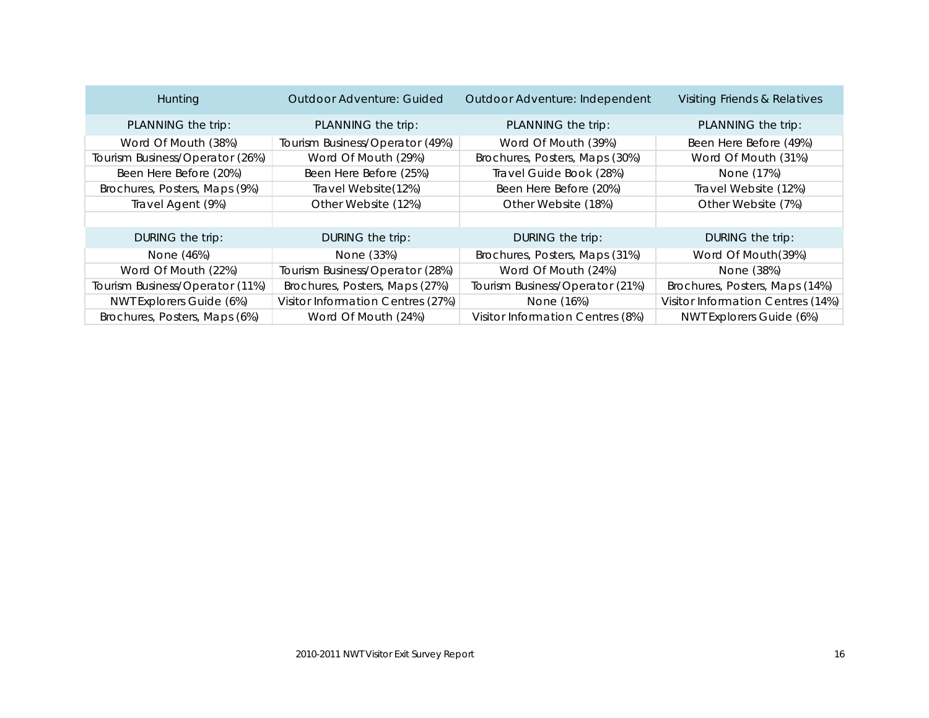| Hunting                         | Outdoor Adventure: Guided         | Outdoor Adventure: Independent   | Visiting Friends & Relatives      |
|---------------------------------|-----------------------------------|----------------------------------|-----------------------------------|
| PLANNING the trip:              | PLANNING the trip:                | PLANNING the trip:               | PLANNING the trip:                |
| Word Of Mouth (38%)             | Tourism Business/Operator (49%)   | Word Of Mouth (39%)              | Been Here Before (49%)            |
| Tourism Business/Operator (26%) | Word Of Mouth (29%)               | Brochures, Posters, Maps (30%)   | Word Of Mouth (31%)               |
| Been Here Before (20%)          | Been Here Before (25%)            | Travel Guide Book (28%)          | None (17%)                        |
| Brochures, Posters, Maps (9%)   | Travel Website(12%)               | Been Here Before (20%)           | Travel Website (12%)              |
| Travel Agent (9%)               | Other Website (12%)               | Other Website (18%)              | Other Website (7%)                |
|                                 |                                   |                                  |                                   |
| DURING the trip:                | DURING the trip:                  | DURING the trip:                 | DURING the trip:                  |
| None (46%)                      | None (33%)                        | Brochures, Posters, Maps (31%)   | Word Of Mouth(39%)                |
| Word Of Mouth (22%)             | Tourism Business/Operator (28%)   | Word Of Mouth (24%)              | None (38%)                        |
| Tourism Business/Operator (11%) | Brochures, Posters, Maps (27%)    | Tourism Business/Operator (21%)  | Brochures, Posters, Maps (14%)    |
| NWT Explorers Guide (6%)        | Visitor Information Centres (27%) | None (16%)                       | Visitor Information Centres (14%) |
| Brochures, Posters, Maps (6%)   | Word Of Mouth (24%)               | Visitor Information Centres (8%) | NWT Explorers Guide (6%)          |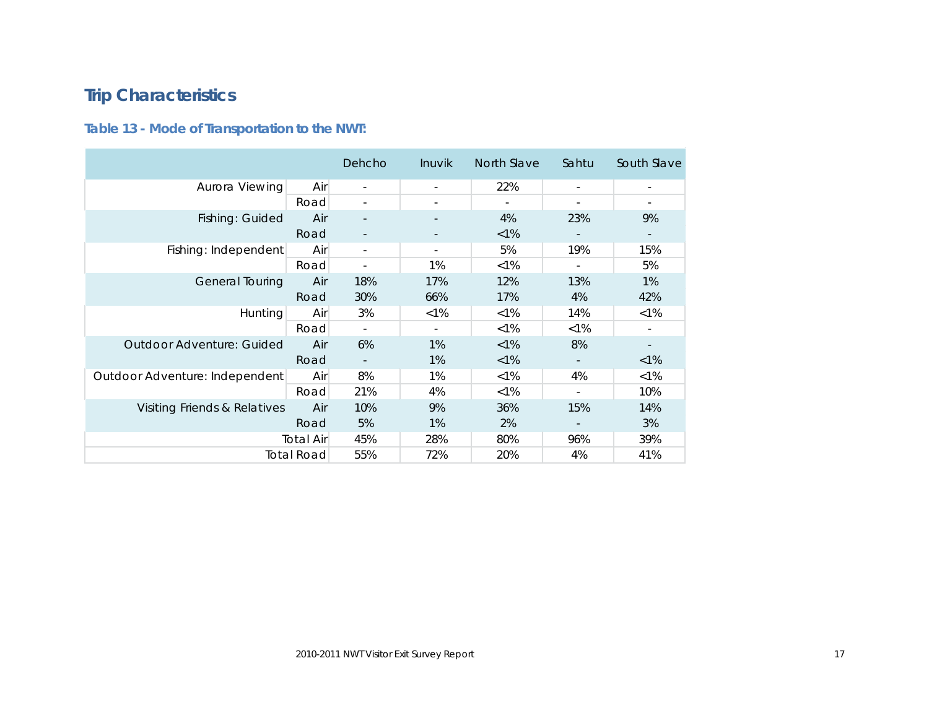# <span id="page-16-0"></span>**Trip Characteristics**

### <span id="page-16-1"></span>**Table 13 - Mode of Transportation to the NWT:**

|                                |                   | Dehcho                   | Inuvik  | North Slave | Sahtu                    | South Slave              |
|--------------------------------|-------------------|--------------------------|---------|-------------|--------------------------|--------------------------|
| Aurora Viewing                 | Air               | $\overline{\phantom{a}}$ |         | 22%         | $\overline{\phantom{a}}$ | $\overline{\phantom{a}}$ |
|                                | Road              |                          |         |             |                          | $\overline{\phantom{a}}$ |
| Fishing: Guided                | Air               |                          |         | 4%          | 23%                      | 9%                       |
|                                | Road              |                          |         | $< 1\%$     |                          | $\overline{\phantom{a}}$ |
| Fishing: Independent           | Air               | $\overline{\phantom{a}}$ |         | 5%          | 19%                      | 15%                      |
|                                | Road              |                          | 1%      | $< 1\%$     | $\overline{\phantom{a}}$ | 5%                       |
| General Touring                | Air               | 18%                      | 17%     | 12%         | 13%                      | 1%                       |
|                                | Road              | 30%                      | 66%     | 17%         | 4%                       | 42%                      |
| <b>Hunting</b>                 | Air               | 3%                       | $< 1\%$ | $< 1\%$     | 14%                      | $< 1\%$                  |
|                                | Road              | $\overline{\phantom{a}}$ |         | $< 1\%$     | $< 1\%$                  | $\overline{\phantom{a}}$ |
| Outdoor Adventure: Guided      | Air               | 6%                       | 1%      | $< 1\%$     | 8%                       |                          |
|                                | Road              |                          | 1%      | $< 1\%$     |                          | $< 1\%$                  |
| Outdoor Adventure: Independent | Air               | 8%                       | 1%      | $< 1\%$     | 4%                       | $< 1\%$                  |
|                                | Road              | 21%                      | 4%      | $< 1\%$     | $\overline{\phantom{a}}$ | 10%                      |
| Visiting Friends & Relatives   | Air               | 10%                      | 9%      | 36%         | 15%                      | 14%                      |
|                                | Road              | 5%                       | 1%      | 2%          | $\overline{\phantom{a}}$ | 3%                       |
|                                | <b>Total Air</b>  | 45%                      | 28%     | 80%         | 96%                      | 39%                      |
|                                | <b>Total Road</b> | 55%                      | 72%     | 20%         | 4%                       | 41%                      |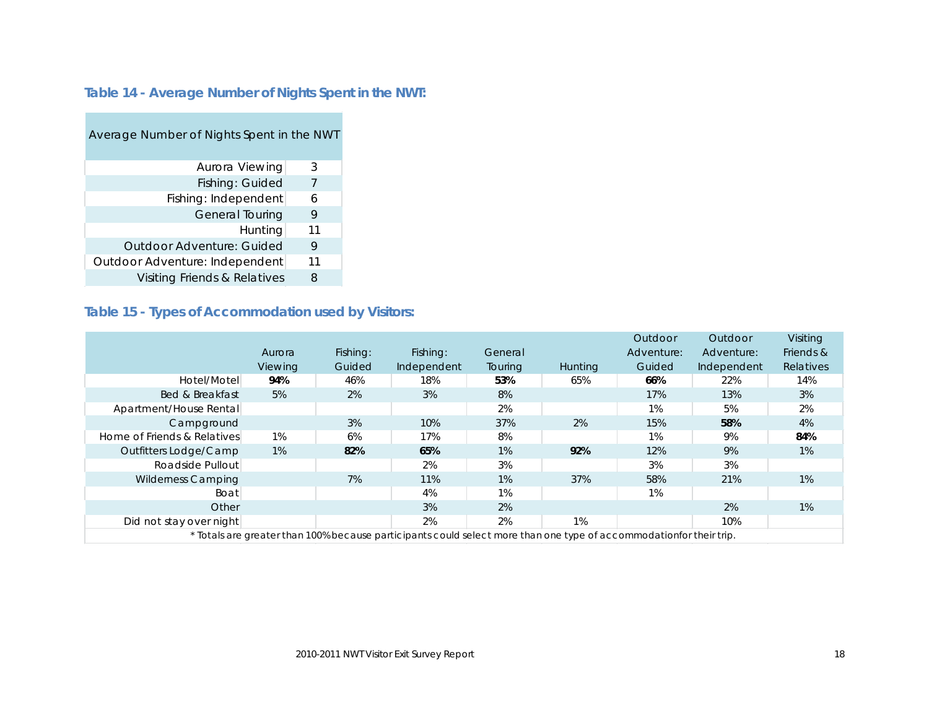#### <span id="page-17-0"></span>**Table 14 - Average Number of Nights Spent in the NWT:**

| Average Number of Nights Spent in the NWT |    |
|-------------------------------------------|----|
| Aurora Viewing                            | 3  |
| Fishing: Guided                           | 7  |
| Fishing: Independent                      | 6  |
| <b>General Touring</b>                    | 9  |
| Hunting                                   | 11 |
| Qutdoor Adventure: Guided                 | 9  |
| Outdoor Adventure: Independent            | 11 |
| Visiting Friends & Relatives              | 8  |

### <span id="page-17-1"></span>**Table 15 - Types of Accommodation used by Visitors:**

|                             |         |          |                                                                                                                     |         |                | Outdoor    | Outdoor     | Visiting  |
|-----------------------------|---------|----------|---------------------------------------------------------------------------------------------------------------------|---------|----------------|------------|-------------|-----------|
|                             | Aurora  | Fishing: | Fishing:                                                                                                            | General |                | Adventure: | Adventure:  | Friends & |
|                             | Viewing | Guided   | Independent                                                                                                         | Touring | <b>Hunting</b> | Guided     | Independent | Relatives |
| Hotel/Motel                 | 94%     | 46%      | 18%                                                                                                                 | 53%     | 65%            | 66%        | 22%         | 14%       |
| Bed & Breakfast             | 5%      | 2%       | 3%                                                                                                                  | 8%      |                | 17%        | 13%         | 3%        |
| Apartment/House Rental      |         |          |                                                                                                                     | 2%      |                | 1%         | 5%          | 2%        |
| Campground                  |         | 3%       | 10%                                                                                                                 | 37%     | 2%             | 15%        | 58%         | 4%        |
| Home of Friends & Relatives | $1\%$   | 6%       | 17%                                                                                                                 | 8%      |                | 1%         | 9%          | 84%       |
| Outfitters Lodge/Camp       | $1\%$   | 82%      | 65%                                                                                                                 | 1%      | 92%            | 12%        | 9%          | 1%        |
| Roadside Pullout            |         |          | 2%                                                                                                                  | 3%      |                | 3%         | 3%          |           |
| <b>Wilderness Camping</b>   |         | 7%       | 11%                                                                                                                 | 1%      | 37%            | 58%        | 21%         | 1%        |
| Boat                        |         |          | 4%                                                                                                                  | 1%      |                | 1%         |             |           |
| Other                       |         |          | 3%                                                                                                                  | 2%      |                |            | 2%          | 1%        |
| Did not stay over night     |         |          | 2%                                                                                                                  | 2%      | 1%             |            | 10%         |           |
|                             |         |          | * Totals are greater than 100% because participants could select more than one type of accommodationfor their trip. |         |                |            |             |           |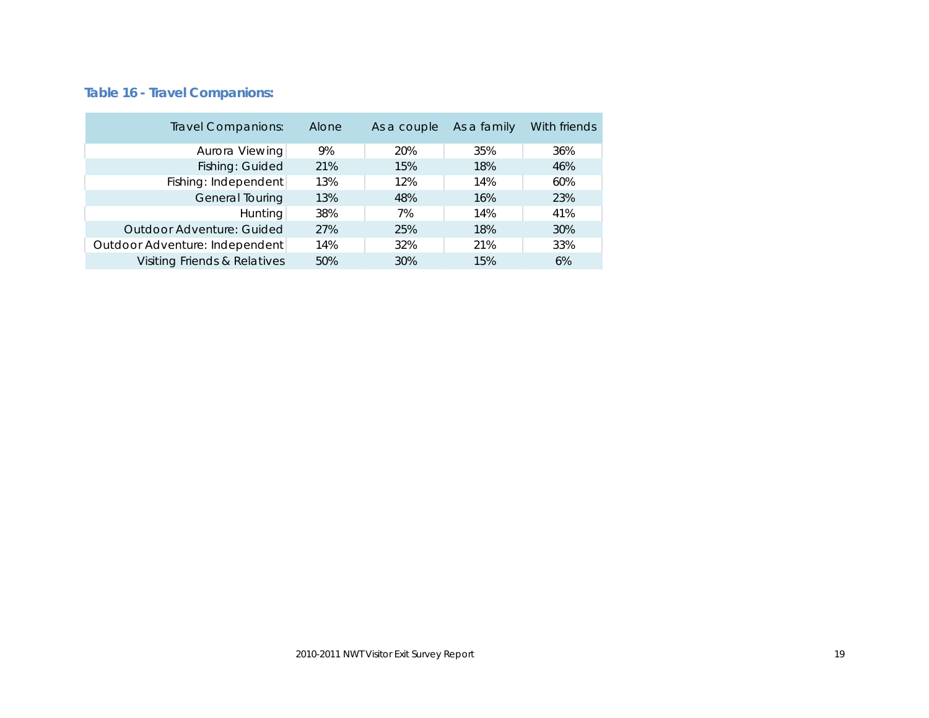### <span id="page-18-0"></span>**Table 16 - Travel Companions:**

| <b>Travel Companions:</b>      | Alone | As a couple | As a family | With friends |
|--------------------------------|-------|-------------|-------------|--------------|
| Aurora Viewing                 | 9%    | 20%         | 35%         | 36%          |
| Fishing: Guided                | 21%   | 15%         | 18%         | 46%          |
| Fishing: Independent           | 13%   | 12%         | 14%         | 60%          |
| General Touring                | 13%   | 48%         | 16%         | 23%          |
| <b>Hunting</b>                 | 38%   | 7%          | 14%         | 41%          |
| Outdoor Adventure: Guided      | 27%   | 25%         | 18%         | 30%          |
| Outdoor Adventure: Independent | 14%   | 32%         | 21%         | 33%          |
| Visiting Friends & Relatives   | 50%   | 30%         | 15%         | 6%           |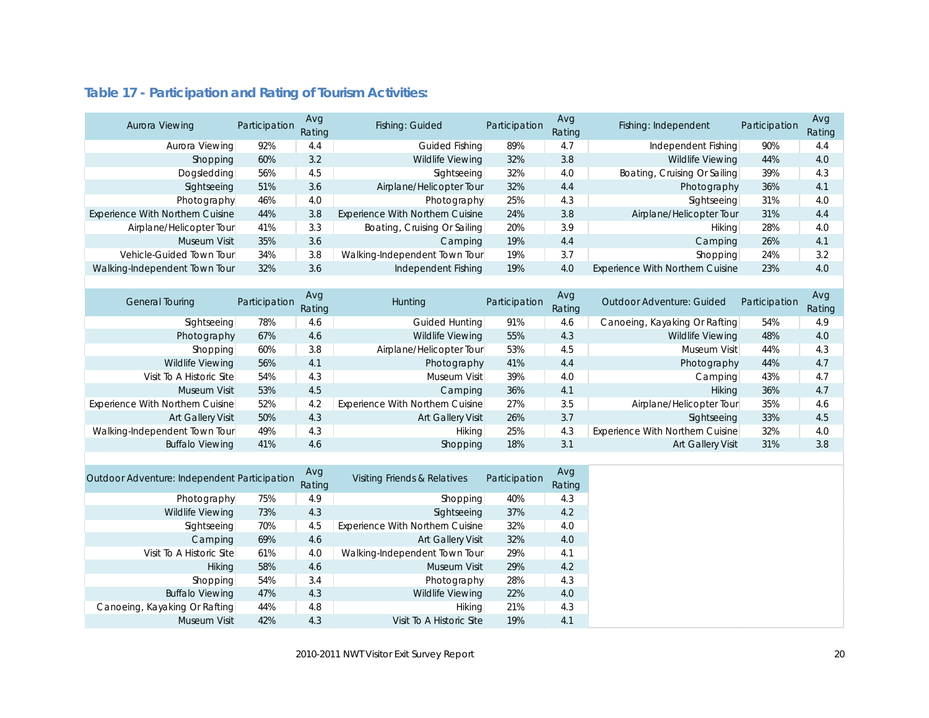| Aurora Viewing                   | Participation | Avg<br>Rating | Fishing: Guided                  | Participation | Avg<br>Rating | Fishing: Independent             | Participation | Avg<br>Rating |
|----------------------------------|---------------|---------------|----------------------------------|---------------|---------------|----------------------------------|---------------|---------------|
| Aurora Viewing                   | 92%           | 4.4           | Guided Fishing                   | 89%           | 4.7           | Independent Fishing              | 90%           | 4.4           |
| Shopping                         | 60%           | 3.2           | Wildlife Viewing                 | 32%           | 3.8           | Wildlife Viewing                 | 44%           | 4.0           |
| Dogsledding                      | 56%           | 4.5           | Sightseeing                      | 32%           | 4.0           | Boating, Cruising Or Sailing     | 39%           | 4.3           |
| Sightseeing                      | 51%           | 3.6           | Airplane/Helicopter Tour         | 32%           | 4.4           | Photography                      | 36%           | 4.1           |
| Photography                      | 46%           | 4.0           | Photography                      | 25%           | 4.3           | Sightseeing                      | 31%           | 4.0           |
| Experience With Northern Cuisine | 44%           | 3.8           | Experience With Northern Cuisine | 24%           | 3.8           | Airplane/Helicopter Tour         | 31%           | 4.4           |
| Airplane/Helicopter Tour         | 41%           | 3.3           | Boating, Cruising Or Sailing     | 20%           | 3.9           | Hiking                           | 28%           | 4.0           |
| <b>Museum Visit</b>              | 35%           | 3.6           | Camping                          | 19%           | 4.4           | Camping                          | 26%           | 4.1           |
| Vehicle-Guided Town Tour         | 34%           | 3.8           | Walking-Independent Town Tour    | 19%           | 3.7           | Shopping                         | 24%           | 3.2           |
| Walking-Independent Town Tour    | 32%           | 3.6           | Independent Fishing              | 19%           | 4.0           | Experience With Northern Cuisine | 23%           | 4.0           |
|                                  |               |               |                                  |               |               |                                  |               |               |
|                                  |               | Avg           |                                  |               | Avg           |                                  |               | Avg           |
| <b>General Touring</b>           | Participation | Rating        | Hunting                          | Participation | Rating        | Outdoor Adventure: Guided        | Participation | Rating        |
| Sightseeing                      | 78%           | 4.6           | Guided Hunting                   | 91%           | 4.6           | Canoeing, Kayaking Or Rafting    | 54%           | 4.9           |
| Photography                      | 67%           | 4.6           | <b>Wildlife Viewing</b>          | 55%           | 4.3           | <b>Wildlife Viewing</b>          | 48%           | 4.0           |
| Shopping                         | 60%           | 3.8           | Airplane/Helicopter Tour         | 53%           | 4.5           | Museum Visit                     | 44%           | 4.3           |
| <b>Wildlife Viewing</b>          | 56%           | 4.1           | Photography                      | 41%           | 4.4           | Photography                      | 44%           | 4.7           |
| Visit To A Historic Site         | 54%           | 4.3           | Museum Visit                     | 39%           | 4.0           | Camping                          | 43%           | 4.7           |
| Museum Visit                     | 53%           | 4.5           | Camping                          | 36%           | 4.1           | Hiking                           | 36%           | 4.7           |
| Experience With Northern Cuisine | 52%           | 4.2           | Experience With Northern Cuisine | 27%           | 3.5           | Airplane/Helicopter Tour         | 35%           | 4.6           |
| Art Gallery Visit                | 50%           | 4.3           | <b>Art Gallery Visit</b>         | 26%           | 3.7           | Sightseeing                      | 33%           | 4.5           |
| Walking-Independent Town Tour    | 49%           | 4.3           | Hiking                           | 25%           | 4.3           | Experience With Northern Cuisine | 32%           | 4.0           |
| <b>Buffalo Viewing</b>           | 41%           | 4.6           | Shopping                         | 18%           | 3.1           | Art Gallery Visit                | 31%           | 3.8           |
|                                  |               |               |                                  |               |               |                                  |               |               |

### <span id="page-19-0"></span>**Table 17 - Participation and Rating of Tourism Activities:**

| Outdoor Adventure: Independent Participation |     | Avg<br>Rating | Visiting Friends & Relatives     | Participation | Avg<br>Rating |
|----------------------------------------------|-----|---------------|----------------------------------|---------------|---------------|
| Photography                                  | 75% | 4.9           | Shopping                         | 40%           | 4.3           |
| <b>Wildlife Viewing</b>                      | 73% | 4.3           | Sightseeing                      | 37%           | 4.2           |
| Sightseeing                                  | 70% | 4.5           | Experience With Northern Cuisine | 32%           | 4.0           |
| Camping                                      | 69% | 4.6           | Art Gallery Visit                | 32%           | 4.0           |
| Visit To A Historic Site                     | 61% | 4.0           | Walking-Independent Town Tour    | 29%           | 4.1           |
| Hiking                                       | 58% | 4.6           | Museum Visit                     | 29%           | 4.2           |
| Shopping                                     | 54% | 3.4           | Photography                      | 28%           | 4.3           |
| <b>Buffalo Viewing</b>                       | 47% | 4.3           | <b>Wildlife Viewing</b>          | 22%           | 4.0           |
| Canoeing, Kayaking Or Rafting                | 44% | 4.8           | <b>Hiking</b>                    | 21%           | 4.3           |
| Museum Visit                                 | 42% | 4.3           | Visit To A Historic Site         | 19%           | 4.1           |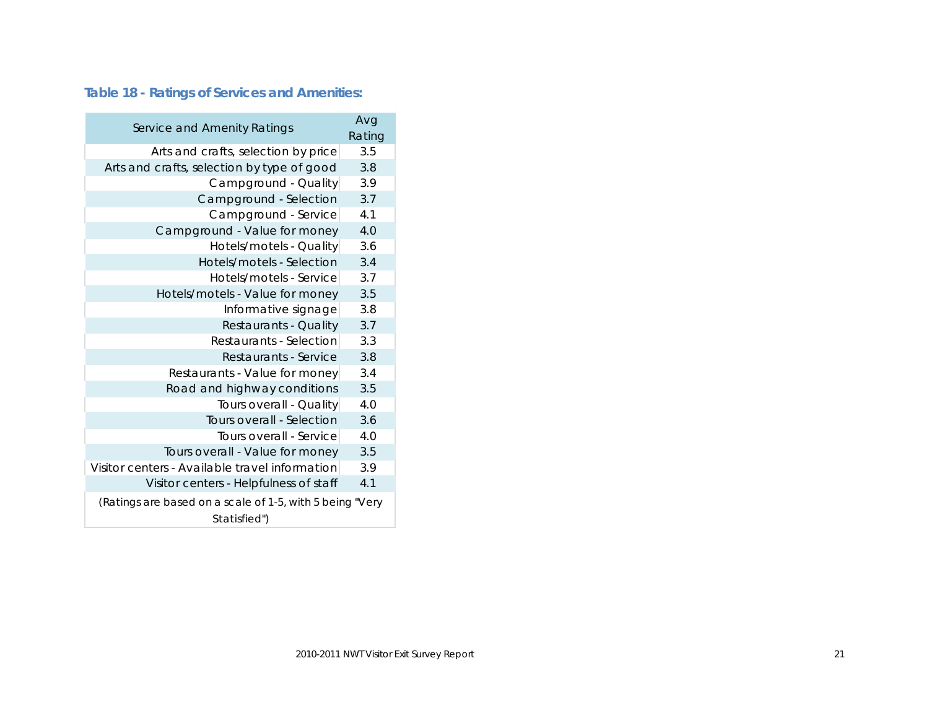### <span id="page-20-0"></span>**Table 18 - Ratings of Services and Amenities:**

| Service and Amenity Ratings                                              | Avg    |
|--------------------------------------------------------------------------|--------|
|                                                                          | Rating |
| Arts and crafts, selection by price                                      | 3.5    |
| Arts and crafts, selection by type of good                               | 3.8    |
| Campground - Quality                                                     | 3.9    |
| Campground - Selection                                                   | 3.7    |
| Campground - Service                                                     | 4.1    |
| Campground - Value for money                                             | 4.0    |
| Hotels/motels - Quality                                                  | 3.6    |
| Hotels/motels - Selection                                                | 3.4    |
| Hotels/motels - Service                                                  | 3.7    |
| Hotels/motels - Value for money                                          | 3.5    |
| Informative signage                                                      | 3.8    |
| Restaurants - Quality                                                    | 3.7    |
| Restaurants - Selection                                                  | 3.3    |
| Restaurants - Service                                                    | 3.8    |
| Restaurants - Value for money                                            | 3.4    |
| Road and highway conditions                                              | 3.5    |
| Tours overall - Quality                                                  | 4.0    |
| Tours overall - Selection                                                | 3.6    |
| Tours overall - Service                                                  | 4.0    |
| Tours overall - Value for money                                          | 3.5    |
| Visitor centers - Available travel information                           | 3.9    |
| Visitor centers - Helpfulness of staff                                   | 4.1    |
| (Ratings are based on a scale of 1-5, with 5 being "Very<br>Statisfied") |        |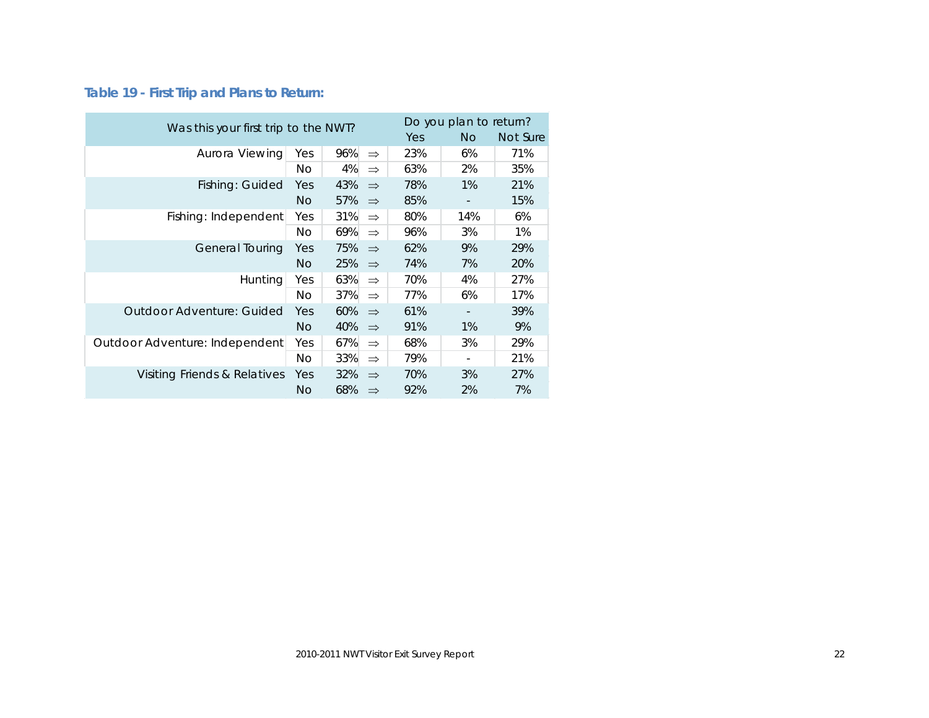### <span id="page-21-0"></span>**Table 19 - First Trip and Plans to Return:**

| Was this your first trip to the NWT? |                |     |               |     | Do you plan to return? |     |  |  |
|--------------------------------------|----------------|-----|---------------|-----|------------------------|-----|--|--|
|                                      | Yes            | No. | Not Sure      |     |                        |     |  |  |
| Aurora Viewing                       | Yes            | 96% | $\Rightarrow$ | 23% | 6%                     | 71% |  |  |
|                                      | <b>No</b>      | 4%  | $\Rightarrow$ | 63% | 2%                     | 35% |  |  |
| Fishing: Guided                      | Yes            | 43% | $\Rightarrow$ | 78% | 1%                     | 21% |  |  |
|                                      | <b>No</b>      | 57% | $\Rightarrow$ | 85% |                        | 15% |  |  |
| Fishing: Independent                 | Yes            | 31% | $\Rightarrow$ | 80% | 14%                    | 6%  |  |  |
|                                      | No             | 69% | $\Rightarrow$ | 96% | 3%                     | 1%  |  |  |
| General Touring                      | Yes            | 75% | $\Rightarrow$ | 62% | 9%                     | 29% |  |  |
|                                      | N <sub>O</sub> | 25% | $\Rightarrow$ | 74% | 7%                     | 20% |  |  |
| <b>Hunting</b>                       |                | 63% | $\Rightarrow$ | 70% | 4%                     | 27% |  |  |
|                                      | No.            | 37% | $\Rightarrow$ | 77% | 6%                     | 17% |  |  |
| <b>Outdoor Adventure: Guided</b>     | Yes            | 60% | $\Rightarrow$ | 61% |                        | 39% |  |  |
|                                      |                | 40% | $\Rightarrow$ | 91% | 1%                     | 9%  |  |  |
| Outdoor Adventure: Independent       | Yes            | 67% | $\Rightarrow$ | 68% | 3%                     | 29% |  |  |
|                                      | No             | 33% | $\Rightarrow$ | 79% |                        | 21% |  |  |
| Visiting Friends & Relatives         | Yes            | 32% | $\Rightarrow$ | 70% | 3%                     | 27% |  |  |
|                                      |                | 68% | $\Rightarrow$ | 92% | 2%                     | 7%  |  |  |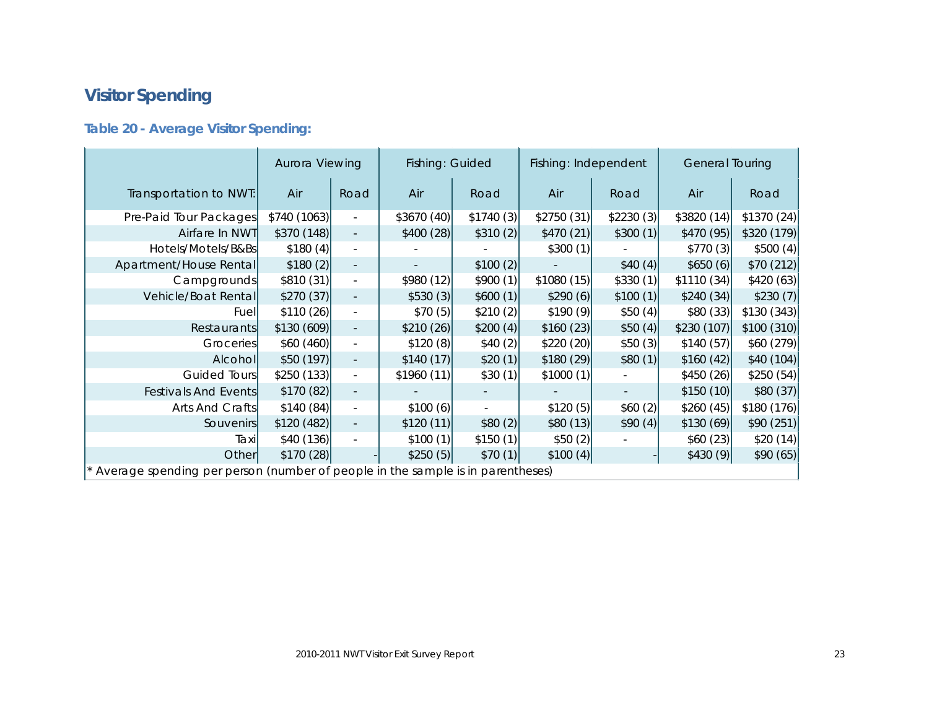# <span id="page-22-0"></span>**Visitor Spending**

### <span id="page-22-1"></span>**Table 20 - Average Visitor Spending:**

|                                                                                | Aurora Viewing |                          |            | Fishing: Guided<br>Fishing: Independent<br><b>General Touring</b> |            |           |            |             |
|--------------------------------------------------------------------------------|----------------|--------------------------|------------|-------------------------------------------------------------------|------------|-----------|------------|-------------|
| Transportation to NWT:                                                         | Air            | Road                     | Air        | Road                                                              | Air        | Road      | Air        | Road        |
| Pre-Paid Tour Packages                                                         | \$740 (1063)   | $\overline{\phantom{a}}$ | \$3670(40) | \$1740(3)                                                         | \$2750(31) | \$2230(3) | \$3820(14) | \$1370(24)  |
| Airfare In NWT                                                                 | \$370(148)     |                          | \$400(28)  | \$310(2)                                                          | \$470(21)  | \$300(1)  | \$470(95)  | \$320 (179) |
| Hotels/Motels/B&Bs                                                             | \$180(4)       | $\overline{\phantom{a}}$ |            |                                                                   | \$300(1)   |           | \$770(3)   | \$500(4)    |
| Apartment/House Rental                                                         | \$180(2)       | $\overline{\phantom{a}}$ |            | \$100(2)                                                          |            | \$40(4)   | \$650(6)   | \$70 (212)  |
| Campgrounds                                                                    | \$810(31)      | $\omega_{\rm c}$         | \$980(12)  | \$900(1)                                                          | \$1080(15) | \$330(1)  | \$1110(34) | \$420(63)   |
| Vehicle/Boat Rental                                                            | \$270(37)      |                          | \$530(3)   | \$600(1)                                                          | \$290(6)   | \$100(1)  | \$240(34)  | \$230(7)    |
| Fuel                                                                           | \$110(26)      | $\blacksquare$           | \$70(5)    | \$210(2)]                                                         | \$190(9)   | \$50(4)   | \$80(33)   | \$130(343)  |
| Restaurants                                                                    | \$130(609)     |                          | \$210(26)  | \$200(4)                                                          | \$160(23)  | \$50(4)   | \$230(107) | \$100 (310) |
| Groceries                                                                      | \$60 (460)     | $\mathbb{L}^2$           | \$120(8)   | \$40(2)]                                                          | \$220(20)  | \$50(3)   | \$140(57)  | \$60(279)   |
| Alcohol                                                                        | \$50(197)      | $\overline{\phantom{a}}$ | \$140(17)  | \$20(1)                                                           | \$180(29)  | \$80(1)   | \$160(42)] | \$40 (104)  |
| Guided Tours                                                                   | \$250(133)]    | $\blacksquare$           | \$1960(11) | \$30(1)                                                           | \$1000(1)  |           | \$450(26)  | \$250(54)   |
| Festivals And Events                                                           | \$170(82)      | $\overline{\phantom{a}}$ |            |                                                                   |            |           | \$150(10)  | \$80(37)    |
| Arts And Crafts                                                                | \$140(84)      | $\overline{\phantom{a}}$ | \$100(6)   |                                                                   | \$120(5)   | \$60(2)   | \$260(45)] | \$180(176)  |
| Souvenirs                                                                      | \$120 (482)    | $\overline{\phantom{a}}$ | \$120(11)  | \$80(2)]                                                          | \$80(13)   | \$90(4)   | \$130(69)  | \$90(251)   |
| Taxi                                                                           | \$40(136)      |                          | \$100(1)   | \$150(1)                                                          | \$50(2)    |           | \$60(23)   | \$20(14)    |
| Other                                                                          | \$170(28)      |                          | \$250(5)   | \$70(1)                                                           | \$100(4)   |           | \$430(9)   | \$90(65)    |
| Average spending per person (number of people in the sample is in parentheses) |                |                          |            |                                                                   |            |           |            |             |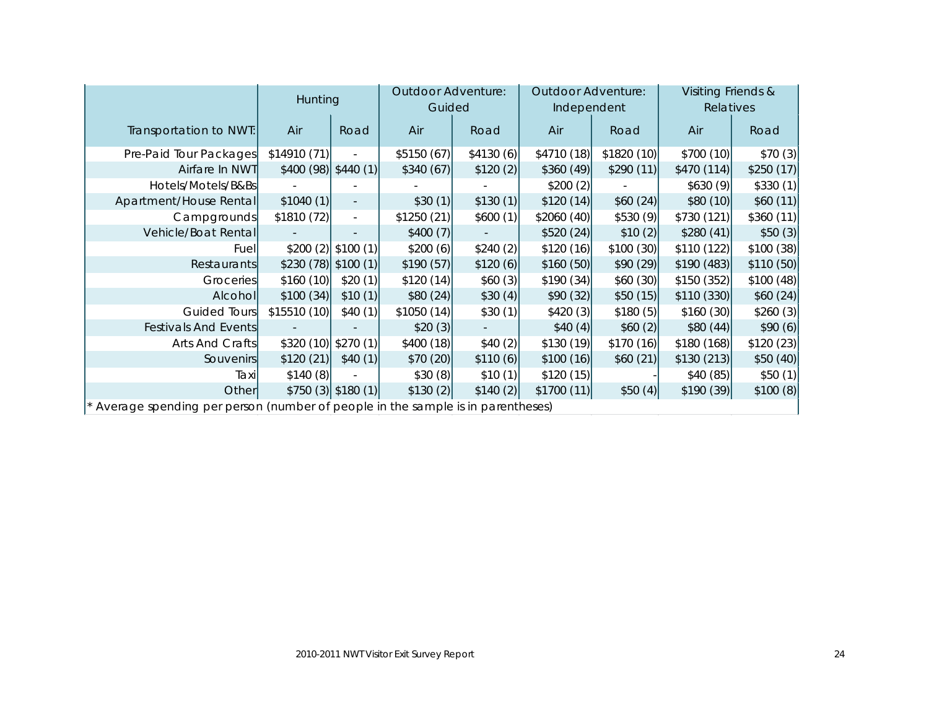|                                                                                | <b>Hunting</b>       |                          | <b>Outdoor Adventure:</b> |           | Outdoor Adventure: |             | Visiting Friends & |           |
|--------------------------------------------------------------------------------|----------------------|--------------------------|---------------------------|-----------|--------------------|-------------|--------------------|-----------|
|                                                                                |                      |                          | Guided                    |           | Independent        |             | Relatives          |           |
| Transportation to NWT:                                                         | Air                  | Road                     | Air                       | Road      | Air                | Road        | Air                | Road      |
| Pre-Paid Tour Packages                                                         | \$14910 (71)         |                          | \$5150(67)                | \$4130(6) | \$4710 (18)        | \$1820 (10) | \$700(10)          | \$70(3)   |
| Airfare In NWT                                                                 | \$400 (98) \$440 (1) |                          | \$340(67)                 | \$120(2)] | \$360(49)          | \$290(11)]  | \$470(114)         | \$250(17) |
| Hotels/Motels/B&Bs                                                             |                      |                          |                           |           | \$200(2)           |             | \$630(9)           | \$330(1)  |
| Apartment/House Rental                                                         | \$1040(1)]           | $\overline{\phantom{a}}$ | \$30(1)                   | \$130(1)  | \$120(14)          | \$60(24)    | \$80(10)           | \$60(11)  |
| Campgrounds                                                                    | \$1810 (72)          |                          | \$1250(21)                | \$600(1)  | \$2060(40)         | \$530(9)    | \$730(121)         | \$360(11) |
| Vehicle/Boat Rental                                                            |                      |                          | \$400(7)                  |           | \$520(24)          | \$10(2)]    | \$280(41)          | \$50(3)   |
| <b>Fuel</b>                                                                    | \$200(2)             | $\vert$ \$100 (1)        | \$200(6)                  | \$240(2)  | \$120(16)          | \$100(30)   | \$110(122)         | \$100(38) |
| Restaurants                                                                    | \$230 (78) \$100 (1) |                          | \$190(57)                 | \$120(6)  | \$160(50)          | \$90(29)    | \$190(483)         | \$110(50) |
| Groceries                                                                      | \$160(10)            | \$20(1)                  | \$120(14)                 | \$60(3)]  | \$190(34)          | \$60(30)    | \$150(352)         | \$100(48) |
| Alcohol                                                                        | \$100(34)            | \$10(1)                  | \$80(24)                  | \$30(4)   | \$90(32)]          | \$50(15)    | \$110(330)         | \$60(24)  |
| Guided Tours                                                                   | \$15510(10)          | \$40(1)                  | \$1050(14)                | \$30(1)]  | \$420(3)           | \$180(5)    | \$160(30)          | \$260(3)  |
| Festivals And Events                                                           |                      |                          | \$20(3)                   |           | \$40(4)            | \$60(2)]    | \$80(44)]          | \$90(6)   |
| Arts And Crafts                                                                | \$320(10)            | \$270(1)                 | \$400(18)                 | \$40(2)]  | \$130(19)          | \$170(16)   | \$180(168)         | \$120(23) |
| <b>Souvenirs</b>                                                               | \$120(21)            | \$40(1)                  | \$70(20)                  | \$110(6)  | \$100(16)          | \$60(21)    | \$130(213)         | \$50(40)  |
| Taxil                                                                          | \$140(8)             |                          | \$30(8)                   | \$10(1)]  | \$120(15)          |             | \$40(85)           | \$50(1)   |
| Other                                                                          |                      | $$750(3)$ \$180(1)       | \$130(2)                  | \$140(2)  | \$1700(11)         | \$50(4)     | \$190(39)          | \$100(8)  |
| Average spending per person (number of people in the sample is in parentheses) |                      |                          |                           |           |                    |             |                    |           |